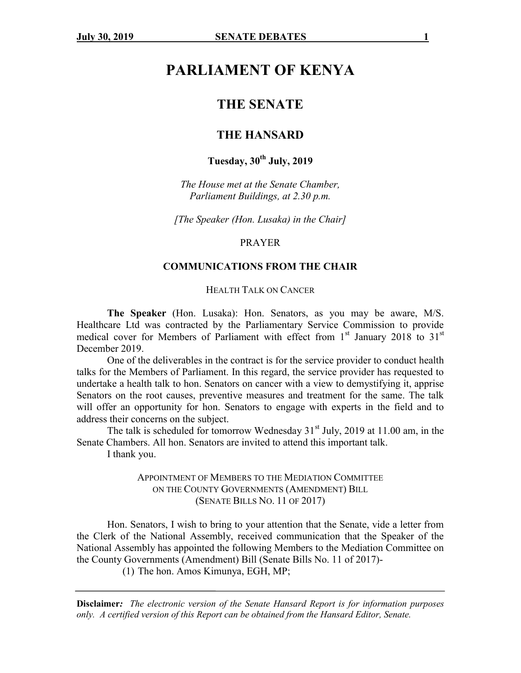# **PARLIAMENT OF KENYA**

## **THE SENATE**

## **THE HANSARD**

## **Tuesday, 30th July, 2019**

*The House met at the Senate Chamber, Parliament Buildings, at 2.30 p.m.*

*[The Speaker (Hon. Lusaka) in the Chair]*

#### PRAYER

## **COMMUNICATIONS FROM THE CHAIR**

#### HEALTH TALK ON CANCER

**The Speaker** (Hon. Lusaka): Hon. Senators, as you may be aware, M/S. Healthcare Ltd was contracted by the Parliamentary Service Commission to provide medical cover for Members of Parliament with effect from  $1<sup>st</sup>$  January 2018 to  $31<sup>st</sup>$ December 2019.

One of the deliverables in the contract is for the service provider to conduct health talks for the Members of Parliament. In this regard, the service provider has requested to undertake a health talk to hon. Senators on cancer with a view to demystifying it, apprise Senators on the root causes, preventive measures and treatment for the same. The talk will offer an opportunity for hon. Senators to engage with experts in the field and to address their concerns on the subject.

The talk is scheduled for tomorrow Wednesday  $31<sup>st</sup>$  July, 2019 at 11.00 am, in the Senate Chambers. All hon. Senators are invited to attend this important talk.

I thank you.

## APPOINTMENT OF MEMBERS TO THE MEDIATION COMMITTEE ON THE COUNTY GOVERNMENTS (AMENDMENT) BILL (SENATE BILLS NO. 11 OF 2017)

Hon. Senators, I wish to bring to your attention that the Senate, vide a letter from the Clerk of the National Assembly, received communication that the Speaker of the National Assembly has appointed the following Members to the Mediation Committee on the County Governments (Amendment) Bill (Senate Bills No. 11 of 2017)-

(1) The hon. Amos Kimunya, EGH, MP;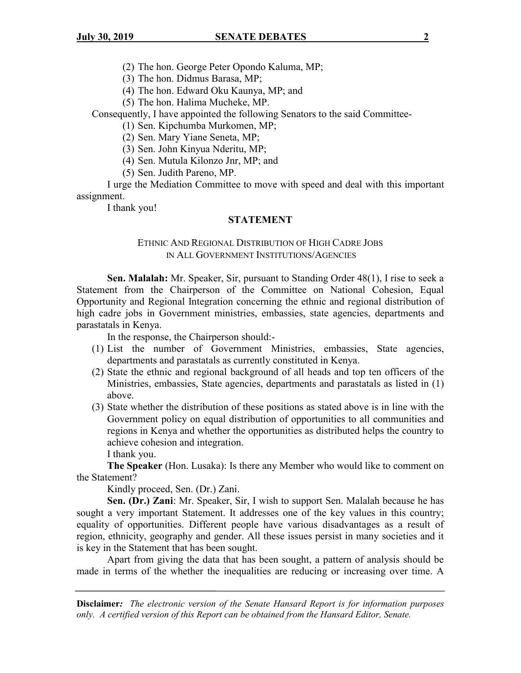(3) The hon. Didmus Barasa, MP;

(4) The hon. Edward Oku Kaunya, MP; and

(5) The hon. Halima Mucheke, MP.

Consequently, I have appointed the following Senators to the said Committee-

(1) Sen. Kipchumba Murkomen, MP;

(2) Sen. Mary Yiane Seneta, MP;

(3) Sen. John Kinyua Nderitu, MP;

(4) Sen. Mutula Kilonzo Jnr, MP; and

(5) Sen. Judith Pareno, MP.

I urge the Mediation Committee to move with speed and deal with this important assignment.

I thank you!

#### **STATEMENT**

## ETHNIC AND REGIONAL DISTRIBUTION OF HIGH CADRE JOBS IN ALL GOVERNMENT INSTITUTIONS/AGENCIES

**Sen. Malalah:** Mr. Speaker, Sir, pursuant to Standing Order 48(1), I rise to seek a Statement from the Chairperson of the Committee on National Cohesion, Equal Opportunity and Regional Integration concerning the ethnic and regional distribution of high cadre jobs in Government ministries, embassies, state agencies, departments and parastatals in Kenya.

In the response, the Chairperson should:-

- (1) List the number of Government Ministries, embassies, State agencies, departments and parastatals as currently constituted in Kenya.
- (2) State the ethnic and regional background of all heads and top ten officers of the Ministries, embassies, State agencies, departments and parastatals as listed in (1) above.
- (3) State whether the distribution of these positions as stated above is in line with the Government policy on equal distribution of opportunities to all communities and regions in Kenya and whether the opportunities as distributed helps the country to achieve cohesion and integration.

I thank you.

**The Speaker** (Hon. Lusaka): Is there any Member who would like to comment on the Statement?

Kindly proceed, Sen. (Dr.) Zani.

**Sen. (Dr.) Zani**: Mr. Speaker, Sir, I wish to support Sen. Malalah because he has sought a very important Statement. It addresses one of the key values in this country; equality of opportunities. Different people have various disadvantages as a result of region, ethnicity, geography and gender. All these issues persist in many societies and it is key in the Statement that has been sought.

Apart from giving the data that has been sought, a pattern of analysis should be made in terms of the whether the inequalities are reducing or increasing over time. A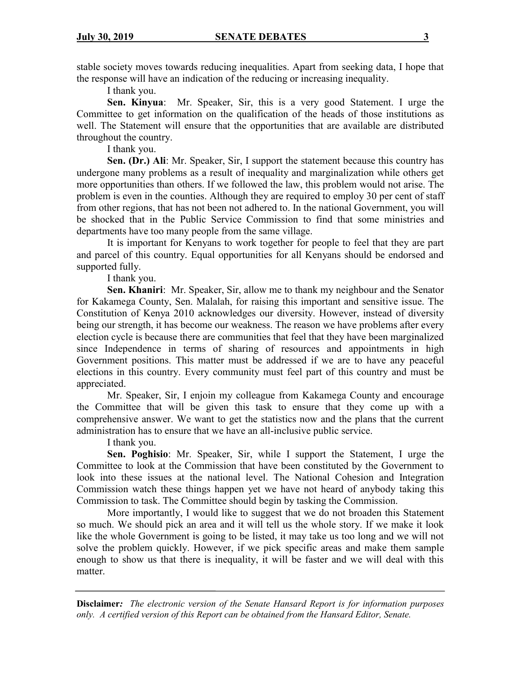stable society moves towards reducing inequalities. Apart from seeking data, I hope that the response will have an indication of the reducing or increasing inequality.

I thank you.

**Sen. Kinyua**: Mr. Speaker, Sir, this is a very good Statement. I urge the Committee to get information on the qualification of the heads of those institutions as well. The Statement will ensure that the opportunities that are available are distributed throughout the country.

I thank you.

**Sen. (Dr.) Ali**: Mr. Speaker, Sir, I support the statement because this country has undergone many problems as a result of inequality and marginalization while others get more opportunities than others. If we followed the law, this problem would not arise. The problem is even in the counties. Although they are required to employ 30 per cent of staff from other regions, that has not been not adhered to. In the national Government, you will be shocked that in the Public Service Commission to find that some ministries and departments have too many people from the same village.

It is important for Kenyans to work together for people to feel that they are part and parcel of this country. Equal opportunities for all Kenyans should be endorsed and supported fully.

## I thank you.

**Sen. Khaniri**: Mr. Speaker, Sir, allow me to thank my neighbour and the Senator for Kakamega County, Sen. Malalah, for raising this important and sensitive issue. The Constitution of Kenya 2010 acknowledges our diversity. However, instead of diversity being our strength, it has become our weakness. The reason we have problems after every election cycle is because there are communities that feel that they have been marginalized since Independence in terms of sharing of resources and appointments in high Government positions. This matter must be addressed if we are to have any peaceful elections in this country. Every community must feel part of this country and must be appreciated.

Mr. Speaker, Sir, I enjoin my colleague from Kakamega County and encourage the Committee that will be given this task to ensure that they come up with a comprehensive answer. We want to get the statistics now and the plans that the current administration has to ensure that we have an all-inclusive public service.

I thank you.

**Sen. Poghisio**: Mr. Speaker, Sir, while I support the Statement, I urge the Committee to look at the Commission that have been constituted by the Government to look into these issues at the national level. The National Cohesion and Integration Commission watch these things happen yet we have not heard of anybody taking this Commission to task. The Committee should begin by tasking the Commission.

More importantly, I would like to suggest that we do not broaden this Statement so much. We should pick an area and it will tell us the whole story. If we make it look like the whole Government is going to be listed, it may take us too long and we will not solve the problem quickly. However, if we pick specific areas and make them sample enough to show us that there is inequality, it will be faster and we will deal with this matter.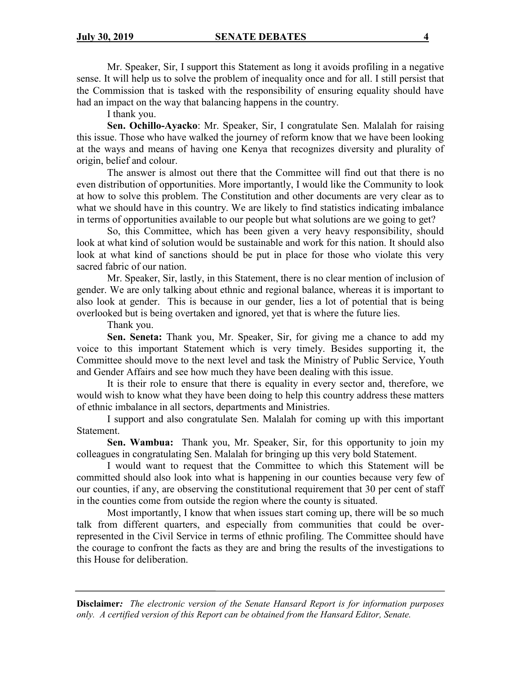Mr. Speaker, Sir, I support this Statement as long it avoids profiling in a negative sense. It will help us to solve the problem of inequality once and for all. I still persist that the Commission that is tasked with the responsibility of ensuring equality should have had an impact on the way that balancing happens in the country.

I thank you.

**Sen. Ochillo-Ayacko**: Mr. Speaker, Sir, I congratulate Sen. Malalah for raising this issue. Those who have walked the journey of reform know that we have been looking at the ways and means of having one Kenya that recognizes diversity and plurality of origin, belief and colour.

The answer is almost out there that the Committee will find out that there is no even distribution of opportunities. More importantly, I would like the Community to look at how to solve this problem. The Constitution and other documents are very clear as to what we should have in this country. We are likely to find statistics indicating imbalance in terms of opportunities available to our people but what solutions are we going to get?

So, this Committee, which has been given a very heavy responsibility, should look at what kind of solution would be sustainable and work for this nation. It should also look at what kind of sanctions should be put in place for those who violate this very sacred fabric of our nation.

Mr. Speaker, Sir, lastly, in this Statement, there is no clear mention of inclusion of gender. We are only talking about ethnic and regional balance, whereas it is important to also look at gender. This is because in our gender, lies a lot of potential that is being overlooked but is being overtaken and ignored, yet that is where the future lies.

Thank you.

**Sen. Seneta:** Thank you, Mr. Speaker, Sir, for giving me a chance to add my voice to this important Statement which is very timely. Besides supporting it, the Committee should move to the next level and task the Ministry of Public Service, Youth and Gender Affairs and see how much they have been dealing with this issue.

It is their role to ensure that there is equality in every sector and, therefore, we would wish to know what they have been doing to help this country address these matters of ethnic imbalance in all sectors, departments and Ministries.

I support and also congratulate Sen. Malalah for coming up with this important Statement.

**Sen. Wambua:** Thank you, Mr. Speaker, Sir, for this opportunity to join my colleagues in congratulating Sen. Malalah for bringing up this very bold Statement.

I would want to request that the Committee to which this Statement will be committed should also look into what is happening in our counties because very few of our counties, if any, are observing the constitutional requirement that 30 per cent of staff in the counties come from outside the region where the county is situated.

Most importantly, I know that when issues start coming up, there will be so much talk from different quarters, and especially from communities that could be overrepresented in the Civil Service in terms of ethnic profiling. The Committee should have the courage to confront the facts as they are and bring the results of the investigations to this House for deliberation.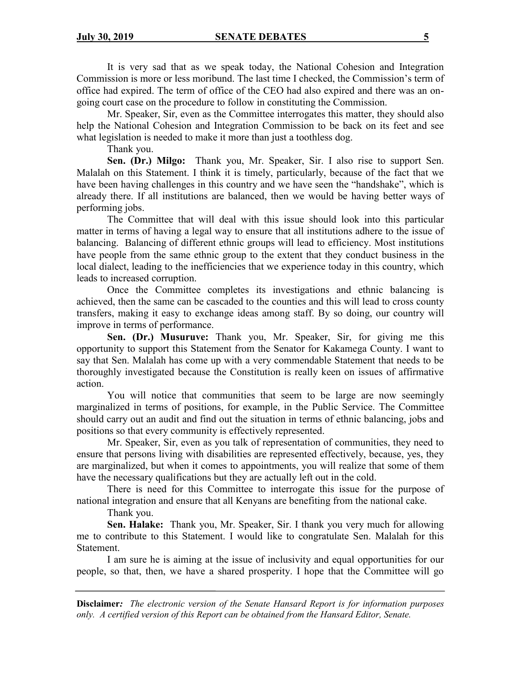It is very sad that as we speak today, the National Cohesion and Integration Commission is more or less moribund. The last time I checked, the Commission's term of office had expired. The term of office of the CEO had also expired and there was an ongoing court case on the procedure to follow in constituting the Commission.

Mr. Speaker, Sir, even as the Committee interrogates this matter, they should also help the National Cohesion and Integration Commission to be back on its feet and see what legislation is needed to make it more than just a toothless dog.

Thank you.

**Sen. (Dr.) Milgo:** Thank you, Mr. Speaker, Sir. I also rise to support Sen. Malalah on this Statement. I think it is timely, particularly, because of the fact that we have been having challenges in this country and we have seen the "handshake", which is already there. If all institutions are balanced, then we would be having better ways of performing jobs.

The Committee that will deal with this issue should look into this particular matter in terms of having a legal way to ensure that all institutions adhere to the issue of balancing. Balancing of different ethnic groups will lead to efficiency. Most institutions have people from the same ethnic group to the extent that they conduct business in the local dialect, leading to the inefficiencies that we experience today in this country, which leads to increased corruption.

Once the Committee completes its investigations and ethnic balancing is achieved, then the same can be cascaded to the counties and this will lead to cross county transfers, making it easy to exchange ideas among staff. By so doing, our country will improve in terms of performance.

**Sen. (Dr.) Musuruve:** Thank you, Mr. Speaker, Sir, for giving me this opportunity to support this Statement from the Senator for Kakamega County. I want to say that Sen. Malalah has come up with a very commendable Statement that needs to be thoroughly investigated because the Constitution is really keen on issues of affirmative action.

You will notice that communities that seem to be large are now seemingly marginalized in terms of positions, for example, in the Public Service. The Committee should carry out an audit and find out the situation in terms of ethnic balancing, jobs and positions so that every community is effectively represented.

Mr. Speaker, Sir, even as you talk of representation of communities, they need to ensure that persons living with disabilities are represented effectively, because, yes, they are marginalized, but when it comes to appointments, you will realize that some of them have the necessary qualifications but they are actually left out in the cold.

There is need for this Committee to interrogate this issue for the purpose of national integration and ensure that all Kenyans are benefiting from the national cake.

Thank you.

**Sen. Halake:** Thank you, Mr. Speaker, Sir. I thank you very much for allowing me to contribute to this Statement. I would like to congratulate Sen. Malalah for this Statement.

I am sure he is aiming at the issue of inclusivity and equal opportunities for our people, so that, then, we have a shared prosperity. I hope that the Committee will go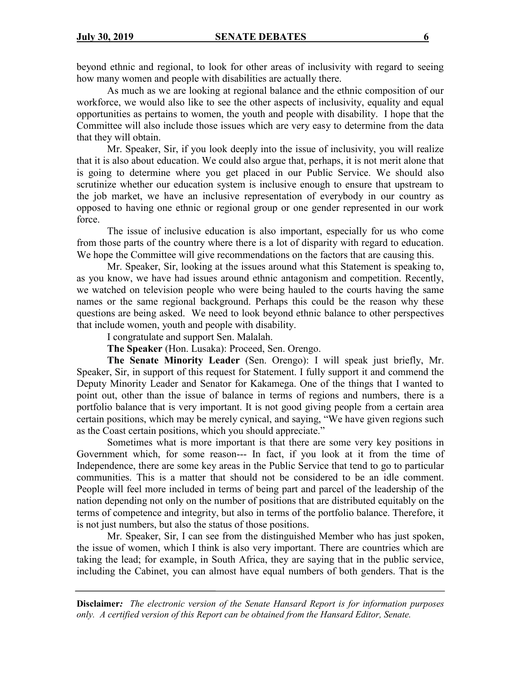beyond ethnic and regional, to look for other areas of inclusivity with regard to seeing how many women and people with disabilities are actually there.

As much as we are looking at regional balance and the ethnic composition of our workforce, we would also like to see the other aspects of inclusivity, equality and equal opportunities as pertains to women, the youth and people with disability. I hope that the Committee will also include those issues which are very easy to determine from the data that they will obtain.

Mr. Speaker, Sir, if you look deeply into the issue of inclusivity, you will realize that it is also about education. We could also argue that, perhaps, it is not merit alone that is going to determine where you get placed in our Public Service. We should also scrutinize whether our education system is inclusive enough to ensure that upstream to the job market, we have an inclusive representation of everybody in our country as opposed to having one ethnic or regional group or one gender represented in our work force.

The issue of inclusive education is also important, especially for us who come from those parts of the country where there is a lot of disparity with regard to education. We hope the Committee will give recommendations on the factors that are causing this.

Mr. Speaker, Sir, looking at the issues around what this Statement is speaking to, as you know, we have had issues around ethnic antagonism and competition. Recently, we watched on television people who were being hauled to the courts having the same names or the same regional background. Perhaps this could be the reason why these questions are being asked. We need to look beyond ethnic balance to other perspectives that include women, youth and people with disability.

I congratulate and support Sen. Malalah.

**The Speaker** (Hon. Lusaka): Proceed, Sen. Orengo.

**The Senate Minority Leader** (Sen. Orengo): I will speak just briefly, Mr. Speaker, Sir, in support of this request for Statement. I fully support it and commend the Deputy Minority Leader and Senator for Kakamega. One of the things that I wanted to point out, other than the issue of balance in terms of regions and numbers, there is a portfolio balance that is very important. It is not good giving people from a certain area certain positions, which may be merely cynical, and saying, "We have given regions such as the Coast certain positions, which you should appreciate."

Sometimes what is more important is that there are some very key positions in Government which, for some reason--- In fact, if you look at it from the time of Independence, there are some key areas in the Public Service that tend to go to particular communities. This is a matter that should not be considered to be an idle comment. People will feel more included in terms of being part and parcel of the leadership of the nation depending not only on the number of positions that are distributed equitably on the terms of competence and integrity, but also in terms of the portfolio balance. Therefore, it is not just numbers, but also the status of those positions.

Mr. Speaker, Sir, I can see from the distinguished Member who has just spoken, the issue of women, which I think is also very important. There are countries which are taking the lead; for example, in South Africa, they are saying that in the public service, including the Cabinet, you can almost have equal numbers of both genders. That is the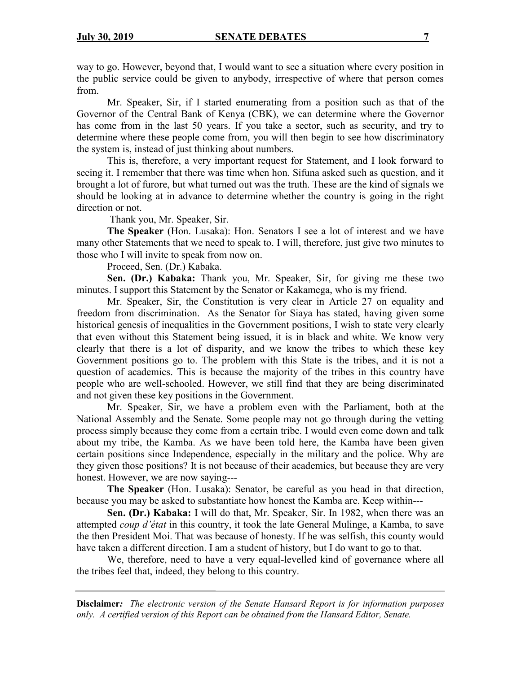way to go. However, beyond that, I would want to see a situation where every position in the public service could be given to anybody, irrespective of where that person comes from.

Mr. Speaker, Sir, if I started enumerating from a position such as that of the Governor of the Central Bank of Kenya (CBK), we can determine where the Governor has come from in the last 50 years. If you take a sector, such as security, and try to determine where these people come from, you will then begin to see how discriminatory the system is, instead of just thinking about numbers.

This is, therefore, a very important request for Statement, and I look forward to seeing it. I remember that there was time when hon. Sifuna asked such as question, and it brought a lot of furore, but what turned out was the truth. These are the kind of signals we should be looking at in advance to determine whether the country is going in the right direction or not.

Thank you, Mr. Speaker, Sir.

**The Speaker** (Hon. Lusaka): Hon. Senators I see a lot of interest and we have many other Statements that we need to speak to. I will, therefore, just give two minutes to those who I will invite to speak from now on.

Proceed, Sen. (Dr.) Kabaka.

**Sen. (Dr.) Kabaka:** Thank you, Mr. Speaker, Sir, for giving me these two minutes. I support this Statement by the Senator or Kakamega, who is my friend.

Mr. Speaker, Sir, the Constitution is very clear in Article 27 on equality and freedom from discrimination. As the Senator for Siaya has stated, having given some historical genesis of inequalities in the Government positions, I wish to state very clearly that even without this Statement being issued, it is in black and white. We know very clearly that there is a lot of disparity, and we know the tribes to which these key Government positions go to. The problem with this State is the tribes, and it is not a question of academics. This is because the majority of the tribes in this country have people who are well-schooled. However, we still find that they are being discriminated and not given these key positions in the Government.

Mr. Speaker, Sir, we have a problem even with the Parliament, both at the National Assembly and the Senate. Some people may not go through during the vetting process simply because they come from a certain tribe. I would even come down and talk about my tribe, the Kamba. As we have been told here, the Kamba have been given certain positions since Independence, especially in the military and the police. Why are they given those positions? It is not because of their academics, but because they are very honest. However, we are now saying---

**The Speaker** (Hon. Lusaka): Senator, be careful as you head in that direction, because you may be asked to substantiate how honest the Kamba are. Keep within---

**Sen. (Dr.) Kabaka:** I will do that, Mr. Speaker, Sir. In 1982, when there was an attempted *coup d'état* in this country, it took the late General Mulinge, a Kamba, to save the then President Moi. That was because of honesty. If he was selfish, this county would have taken a different direction. I am a student of history, but I do want to go to that.

We, therefore, need to have a very equal-levelled kind of governance where all the tribes feel that, indeed, they belong to this country.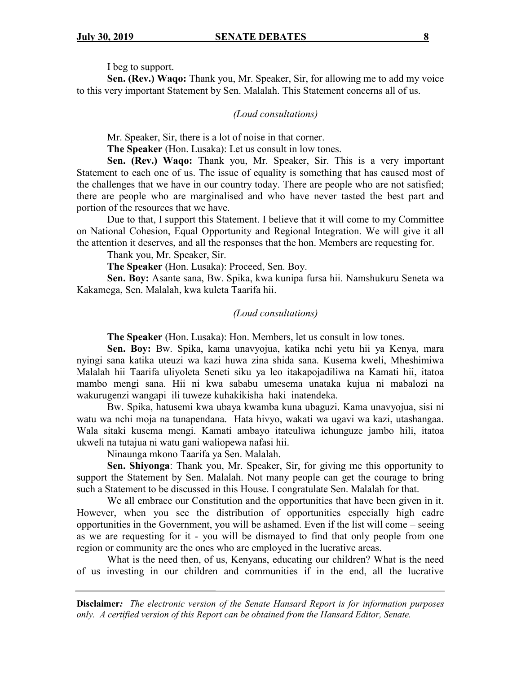#### I beg to support.

**Sen. (Rev.) Waqo:** Thank you, Mr. Speaker, Sir, for allowing me to add my voice to this very important Statement by Sen. Malalah. This Statement concerns all of us.

#### *(Loud consultations)*

Mr. Speaker, Sir, there is a lot of noise in that corner.

**The Speaker** (Hon. Lusaka): Let us consult in low tones.

**Sen. (Rev.) Waqo:** Thank you, Mr. Speaker, Sir. This is a very important Statement to each one of us. The issue of equality is something that has caused most of the challenges that we have in our country today. There are people who are not satisfied; there are people who are marginalised and who have never tasted the best part and portion of the resources that we have.

Due to that, I support this Statement. I believe that it will come to my Committee on National Cohesion, Equal Opportunity and Regional Integration. We will give it all the attention it deserves, and all the responses that the hon. Members are requesting for.

Thank you, Mr. Speaker, Sir.

**The Speaker** (Hon. Lusaka): Proceed, Sen. Boy.

**Sen. Boy:** Asante sana, Bw. Spika, kwa kunipa fursa hii. Namshukuru Seneta wa Kakamega, Sen. Malalah, kwa kuleta Taarifa hii.

### *(Loud consultations)*

**The Speaker** (Hon. Lusaka): Hon. Members, let us consult in low tones.

**Sen. Boy:** Bw. Spika, kama unavyojua, katika nchi yetu hii ya Kenya, mara nyingi sana katika uteuzi wa kazi huwa zina shida sana. Kusema kweli, Mheshimiwa Malalah hii Taarifa uliyoleta Seneti siku ya leo itakapojadiliwa na Kamati hii, itatoa mambo mengi sana. Hii ni kwa sababu umesema unataka kujua ni mabalozi na wakurugenzi wangapi ili tuweze kuhakikisha haki inatendeka.

Bw. Spika, hatusemi kwa ubaya kwamba kuna ubaguzi. Kama unavyojua, sisi ni watu wa nchi moja na tunapendana. Hata hivyo, wakati wa ugavi wa kazi, utashangaa. Wala sitaki kusema mengi. Kamati ambayo itateuliwa ichunguze jambo hili, itatoa ukweli na tutajua ni watu gani waliopewa nafasi hii.

Ninaunga mkono Taarifa ya Sen. Malalah.

**Sen. Shiyonga**: Thank you, Mr. Speaker, Sir, for giving me this opportunity to support the Statement by Sen. Malalah. Not many people can get the courage to bring such a Statement to be discussed in this House. I congratulate Sen. Malalah for that.

We all embrace our Constitution and the opportunities that have been given in it. However, when you see the distribution of opportunities especially high cadre opportunities in the Government, you will be ashamed. Even if the list will come – seeing as we are requesting for it - you will be dismayed to find that only people from one region or community are the ones who are employed in the lucrative areas.

What is the need then, of us, Kenyans, educating our children? What is the need of us investing in our children and communities if in the end, all the lucrative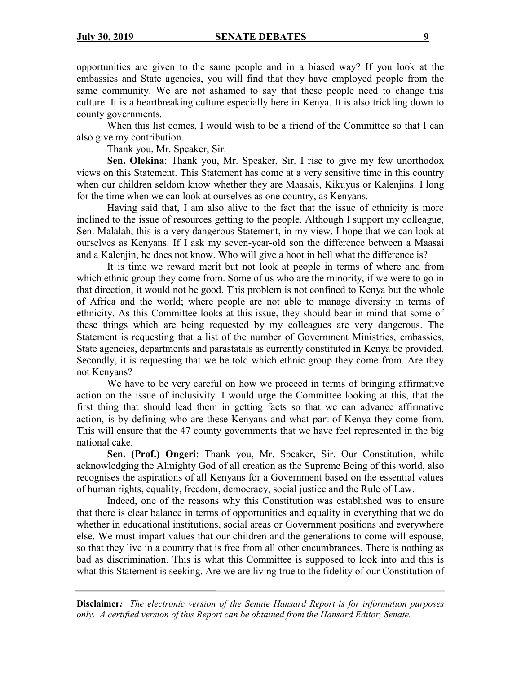opportunities are given to the same people and in a biased way? If you look at the embassies and State agencies, you will find that they have employed people from the same community. We are not ashamed to say that these people need to change this culture. It is a heartbreaking culture especially here in Kenya. It is also trickling down to county governments.

When this list comes, I would wish to be a friend of the Committee so that I can also give my contribution.

Thank you, Mr. Speaker, Sir.

**Sen. Olekina**: Thank you, Mr. Speaker, Sir. I rise to give my few unorthodox views on this Statement. This Statement has come at a very sensitive time in this country when our children seldom know whether they are Maasais, Kikuyus or Kalenjins. I long for the time when we can look at ourselves as one country, as Kenyans.

Having said that, I am also alive to the fact that the issue of ethnicity is more inclined to the issue of resources getting to the people. Although I support my colleague, Sen. Malalah, this is a very dangerous Statement, in my view. I hope that we can look at ourselves as Kenyans. If I ask my seven-year-old son the difference between a Maasai and a Kalenjin, he does not know. Who will give a hoot in hell what the difference is?

It is time we reward merit but not look at people in terms of where and from which ethnic group they come from. Some of us who are the minority, if we were to go in that direction, it would not be good. This problem is not confined to Kenya but the whole of Africa and the world; where people are not able to manage diversity in terms of ethnicity. As this Committee looks at this issue, they should bear in mind that some of these things which are being requested by my colleagues are very dangerous. The Statement is requesting that a list of the number of Government Ministries, embassies, State agencies, departments and parastatals as currently constituted in Kenya be provided. Secondly, it is requesting that we be told which ethnic group they come from. Are they not Kenyans?

We have to be very careful on how we proceed in terms of bringing affirmative action on the issue of inclusivity. I would urge the Committee looking at this, that the first thing that should lead them in getting facts so that we can advance affirmative action, is by defining who are these Kenyans and what part of Kenya they come from. This will ensure that the 47 county governments that we have feel represented in the big national cake.

**Sen. (Prof.) Ongeri**: Thank you, Mr. Speaker, Sir. Our Constitution, while acknowledging the Almighty God of all creation as the Supreme Being of this world, also recognises the aspirations of all Kenyans for a Government based on the essential values of human rights, equality, freedom, democracy, social justice and the Rule of Law.

Indeed, one of the reasons why this Constitution was established was to ensure that there is clear balance in terms of opportunities and equality in everything that we do whether in educational institutions, social areas or Government positions and everywhere else. We must impart values that our children and the generations to come will espouse, so that they live in a country that is free from all other encumbrances. There is nothing as bad as discrimination. This is what this Committee is supposed to look into and this is what this Statement is seeking. Are we are living true to the fidelity of our Constitution of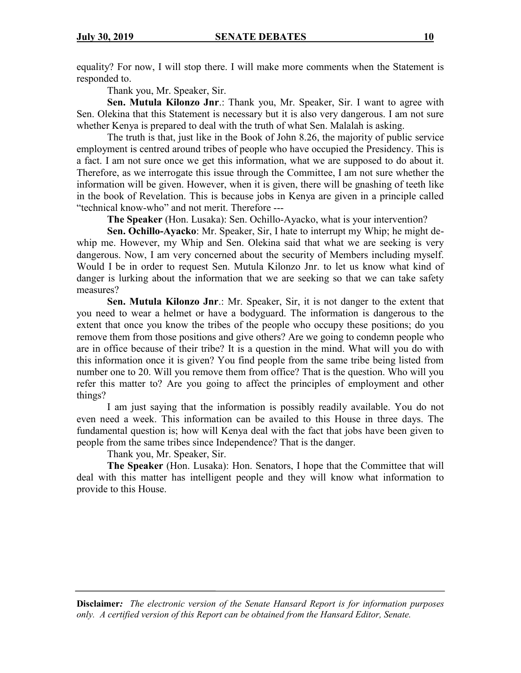equality? For now, I will stop there. I will make more comments when the Statement is responded to.

Thank you, Mr. Speaker, Sir.

**Sen. Mutula Kilonzo Jnr**.: Thank you, Mr. Speaker, Sir. I want to agree with Sen. Olekina that this Statement is necessary but it is also very dangerous. I am not sure whether Kenya is prepared to deal with the truth of what Sen. Malalah is asking.

The truth is that, just like in the Book of John 8.26, the majority of public service employment is centred around tribes of people who have occupied the Presidency. This is a fact. I am not sure once we get this information, what we are supposed to do about it. Therefore, as we interrogate this issue through the Committee, I am not sure whether the information will be given. However, when it is given, there will be gnashing of teeth like in the book of Revelation. This is because jobs in Kenya are given in a principle called "technical know-who" and not merit. Therefore ---

**The Speaker** (Hon. Lusaka): Sen. Ochillo-Ayacko, what is your intervention?

**Sen. Ochillo-Ayacko**: Mr. Speaker, Sir, I hate to interrupt my Whip; he might dewhip me. However, my Whip and Sen. Olekina said that what we are seeking is very dangerous. Now, I am very concerned about the security of Members including myself. Would I be in order to request Sen. Mutula Kilonzo Jnr. to let us know what kind of danger is lurking about the information that we are seeking so that we can take safety measures?

**Sen. Mutula Kilonzo Jnr**.: Mr. Speaker, Sir, it is not danger to the extent that you need to wear a helmet or have a bodyguard. The information is dangerous to the extent that once you know the tribes of the people who occupy these positions; do you remove them from those positions and give others? Are we going to condemn people who are in office because of their tribe? It is a question in the mind. What will you do with this information once it is given? You find people from the same tribe being listed from number one to 20. Will you remove them from office? That is the question. Who will you refer this matter to? Are you going to affect the principles of employment and other things?

I am just saying that the information is possibly readily available. You do not even need a week. This information can be availed to this House in three days. The fundamental question is; how will Kenya deal with the fact that jobs have been given to people from the same tribes since Independence? That is the danger.

Thank you, Mr. Speaker, Sir.

**The Speaker** (Hon. Lusaka): Hon. Senators, I hope that the Committee that will deal with this matter has intelligent people and they will know what information to provide to this House.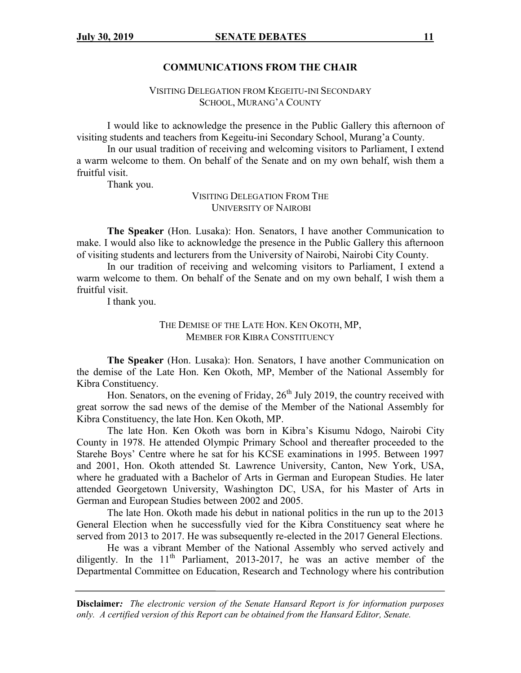#### **COMMUNICATIONS FROM THE CHAIR**

## VISITING DELEGATION FROM KEGEITU-INI SECONDARY SCHOOL, MURANG'A COUNTY

I would like to acknowledge the presence in the Public Gallery this afternoon of visiting students and teachers from Kegeitu-ini Secondary School, Murang'a County.

In our usual tradition of receiving and welcoming visitors to Parliament, I extend a warm welcome to them. On behalf of the Senate and on my own behalf, wish them a fruitful visit.

Thank you.

VISITING DELEGATION FROM THE UNIVERSITY OF NAIROBI

**The Speaker** (Hon. Lusaka): Hon. Senators, I have another Communication to make. I would also like to acknowledge the presence in the Public Gallery this afternoon of visiting students and lecturers from the University of Nairobi, Nairobi City County.

In our tradition of receiving and welcoming visitors to Parliament, I extend a warm welcome to them. On behalf of the Senate and on my own behalf, I wish them a fruitful visit.

I thank you.

THE DEMISE OF THE LATE HON. KEN OKOTH, MP, MEMBER FOR KIBRA CONSTITUENCY

**The Speaker** (Hon. Lusaka): Hon. Senators, I have another Communication on the demise of the Late Hon. Ken Okoth, MP, Member of the National Assembly for Kibra Constituency.

Hon. Senators, on the evening of Friday,  $26<sup>th</sup>$  July 2019, the country received with great sorrow the sad news of the demise of the Member of the National Assembly for Kibra Constituency, the late Hon. Ken Okoth, MP.

The late Hon. Ken Okoth was born in Kibra's Kisumu Ndogo, Nairobi City County in 1978. He attended Olympic Primary School and thereafter proceeded to the Starehe Boys' Centre where he sat for his KCSE examinations in 1995. Between 1997 and 2001, Hon. Okoth attended St. Lawrence University, Canton, New York, USA, where he graduated with a Bachelor of Arts in German and European Studies. He later attended Georgetown University, Washington DC, USA, for his Master of Arts in German and European Studies between 2002 and 2005.

The late Hon. Okoth made his debut in national politics in the run up to the 2013 General Election when he successfully vied for the Kibra Constituency seat where he served from 2013 to 2017. He was subsequently re-elected in the 2017 General Elections.

He was a vibrant Member of the National Assembly who served actively and diligently. In the  $11<sup>th</sup>$  Parliament, 2013-2017, he was an active member of the Departmental Committee on Education, Research and Technology where his contribution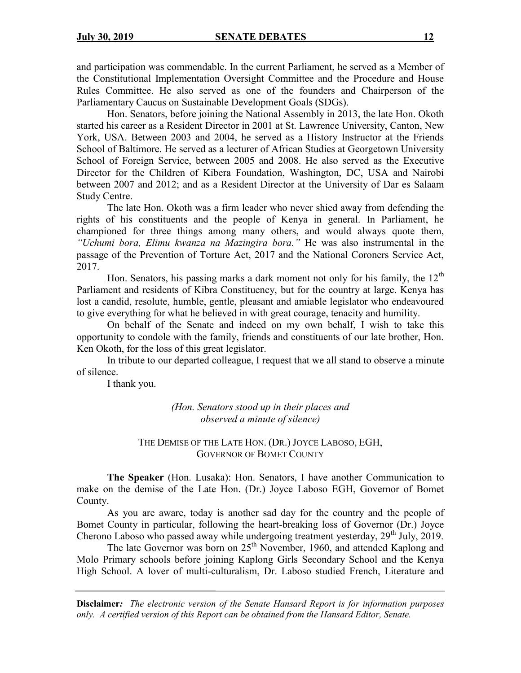and participation was commendable. In the current Parliament, he served as a Member of the Constitutional Implementation Oversight Committee and the Procedure and House Rules Committee. He also served as one of the founders and Chairperson of the Parliamentary Caucus on Sustainable Development Goals (SDGs).

Hon. Senators, before joining the National Assembly in 2013, the late Hon. Okoth started his career as a Resident Director in 2001 at St. Lawrence University, Canton, New York, USA. Between 2003 and 2004, he served as a History Instructor at the Friends School of Baltimore. He served as a lecturer of African Studies at Georgetown University School of Foreign Service, between 2005 and 2008. He also served as the Executive Director for the Children of Kibera Foundation, Washington, DC, USA and Nairobi between 2007 and 2012; and as a Resident Director at the University of Dar es Salaam Study Centre.

The late Hon. Okoth was a firm leader who never shied away from defending the rights of his constituents and the people of Kenya in general. In Parliament, he championed for three things among many others, and would always quote them, *"Uchumi bora, Elimu kwanza na Mazingira bora."* He was also instrumental in the passage of the Prevention of Torture Act, 2017 and the National Coroners Service Act, 2017.

Hon. Senators, his passing marks a dark moment not only for his family, the 12<sup>th</sup> Parliament and residents of Kibra Constituency, but for the country at large. Kenya has lost a candid, resolute, humble, gentle, pleasant and amiable legislator who endeavoured to give everything for what he believed in with great courage, tenacity and humility.

On behalf of the Senate and indeed on my own behalf, I wish to take this opportunity to condole with the family, friends and constituents of our late brother, Hon. Ken Okoth, for the loss of this great legislator.

In tribute to our departed colleague, I request that we all stand to observe a minute of silence.

I thank you.

*(Hon. Senators stood up in their places and observed a minute of silence)*

THE DEMISE OF THE LATE HON. (DR.) JOYCE LABOSO, EGH, GOVERNOR OF BOMET COUNTY

**The Speaker** (Hon. Lusaka): Hon. Senators, I have another Communication to make on the demise of the Late Hon. (Dr.) Joyce Laboso EGH, Governor of Bomet County.

As you are aware, today is another sad day for the country and the people of Bomet County in particular, following the heart-breaking loss of Governor (Dr.) Joyce Cherono Laboso who passed away while undergoing treatment yesterday,  $29<sup>th</sup>$  July, 2019.

The late Governor was born on  $25<sup>th</sup>$  November, 1960, and attended Kaplong and Molo Primary schools before joining Kaplong Girls Secondary School and the Kenya High School. A lover of multi-culturalism, Dr. Laboso studied French, Literature and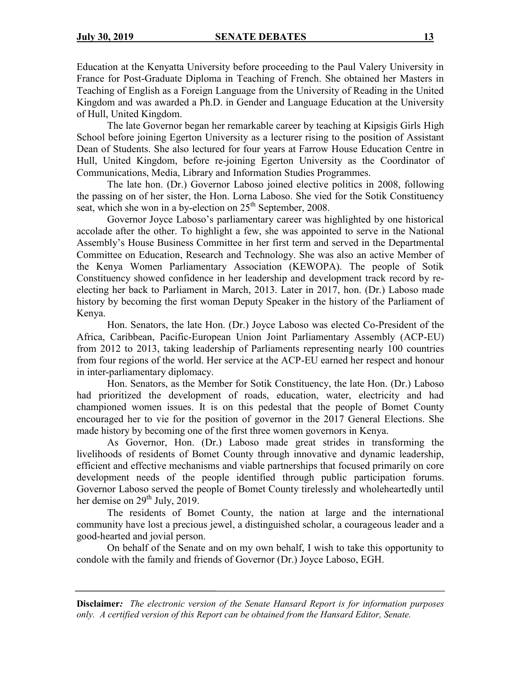Education at the Kenyatta University before proceeding to the Paul Valery University in France for Post-Graduate Diploma in Teaching of French. She obtained her Masters in Teaching of English as a Foreign Language from the University of Reading in the United Kingdom and was awarded a Ph.D. in Gender and Language Education at the University of Hull, United Kingdom.

The late Governor began her remarkable career by teaching at Kipsigis Girls High School before joining Egerton University as a lecturer rising to the position of Assistant Dean of Students. She also lectured for four years at Farrow House Education Centre in Hull, United Kingdom, before re-joining Egerton University as the Coordinator of Communications, Media, Library and Information Studies Programmes.

The late hon. (Dr.) Governor Laboso joined elective politics in 2008, following the passing on of her sister, the Hon. Lorna Laboso. She vied for the Sotik Constituency seat, which she won in a by-election on  $25<sup>th</sup>$  September, 2008.

Governor Joyce Laboso's parliamentary career was highlighted by one historical accolade after the other. To highlight a few, she was appointed to serve in the National Assembly's House Business Committee in her first term and served in the Departmental Committee on Education, Research and Technology. She was also an active Member of the Kenya Women Parliamentary Association (KEWOPA). The people of Sotik Constituency showed confidence in her leadership and development track record by reelecting her back to Parliament in March, 2013. Later in 2017, hon. (Dr.) Laboso made history by becoming the first woman Deputy Speaker in the history of the Parliament of Kenya.

Hon. Senators, the late Hon. (Dr.) Joyce Laboso was elected Co-President of the Africa, Caribbean, Pacific-European Union Joint Parliamentary Assembly (ACP-EU) from 2012 to 2013, taking leadership of Parliaments representing nearly 100 countries from four regions of the world. Her service at the ACP-EU earned her respect and honour in inter-parliamentary diplomacy.

Hon. Senators, as the Member for Sotik Constituency, the late Hon. (Dr.) Laboso had prioritized the development of roads, education, water, electricity and had championed women issues. It is on this pedestal that the people of Bomet County encouraged her to vie for the position of governor in the 2017 General Elections. She made history by becoming one of the first three women governors in Kenya.

As Governor, Hon. (Dr.) Laboso made great strides in transforming the livelihoods of residents of Bomet County through innovative and dynamic leadership, efficient and effective mechanisms and viable partnerships that focused primarily on core development needs of the people identified through public participation forums. Governor Laboso served the people of Bomet County tirelessly and wholeheartedly until her demise on 29<sup>th</sup> July, 2019.

The residents of Bomet County, the nation at large and the international community have lost a precious jewel, a distinguished scholar, a courageous leader and a good-hearted and jovial person.

On behalf of the Senate and on my own behalf, I wish to take this opportunity to condole with the family and friends of Governor (Dr.) Joyce Laboso, EGH.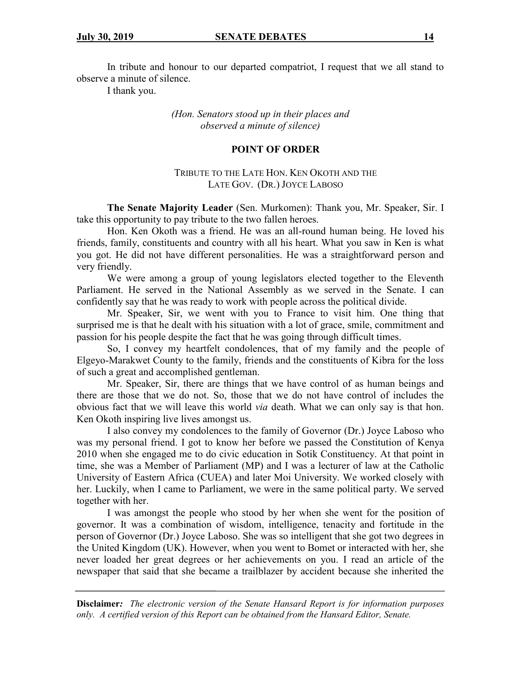In tribute and honour to our departed compatriot, I request that we all stand to observe a minute of silence.

I thank you.

*(Hon. Senators stood up in their places and observed a minute of silence)*

### **POINT OF ORDER**

## TRIBUTE TO THE LATE HON. KEN OKOTH AND THE LATE GOV. (DR.) JOYCE LABOSO

**The Senate Majority Leader** (Sen. Murkomen): Thank you, Mr. Speaker, Sir. I take this opportunity to pay tribute to the two fallen heroes.

Hon. Ken Okoth was a friend. He was an all-round human being. He loved his friends, family, constituents and country with all his heart. What you saw in Ken is what you got. He did not have different personalities. He was a straightforward person and very friendly.

We were among a group of young legislators elected together to the Eleventh Parliament. He served in the National Assembly as we served in the Senate. I can confidently say that he was ready to work with people across the political divide.

Mr. Speaker, Sir, we went with you to France to visit him. One thing that surprised me is that he dealt with his situation with a lot of grace, smile, commitment and passion for his people despite the fact that he was going through difficult times.

So, I convey my heartfelt condolences, that of my family and the people of Elgeyo-Marakwet County to the family, friends and the constituents of Kibra for the loss of such a great and accomplished gentleman.

Mr. Speaker, Sir, there are things that we have control of as human beings and there are those that we do not. So, those that we do not have control of includes the obvious fact that we will leave this world *via* death. What we can only say is that hon. Ken Okoth inspiring live lives amongst us.

I also convey my condolences to the family of Governor (Dr.) Joyce Laboso who was my personal friend. I got to know her before we passed the Constitution of Kenya 2010 when she engaged me to do civic education in Sotik Constituency. At that point in time, she was a Member of Parliament (MP) and I was a lecturer of law at the Catholic University of Eastern Africa (CUEA) and later Moi University. We worked closely with her. Luckily, when I came to Parliament, we were in the same political party. We served together with her.

I was amongst the people who stood by her when she went for the position of governor. It was a combination of wisdom, intelligence, tenacity and fortitude in the person of Governor (Dr.) Joyce Laboso. She was so intelligent that she got two degrees in the United Kingdom (UK). However, when you went to Bomet or interacted with her, she never loaded her great degrees or her achievements on you. I read an article of the newspaper that said that she became a trailblazer by accident because she inherited the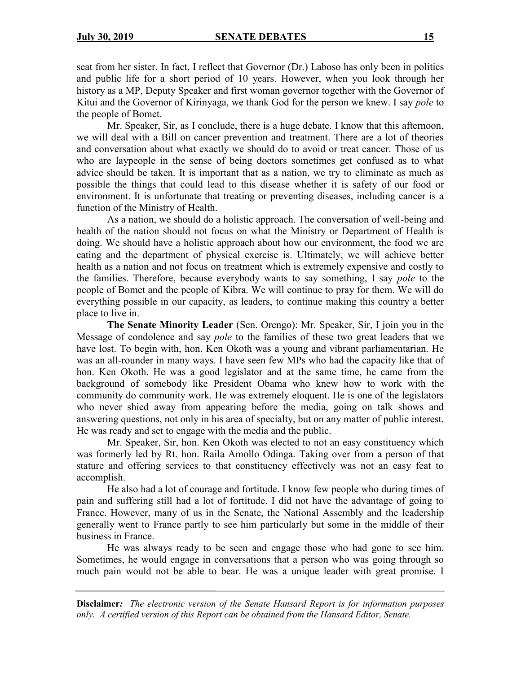seat from her sister. In fact, I reflect that Governor (Dr.) Laboso has only been in politics and public life for a short period of 10 years. However, when you look through her history as a MP, Deputy Speaker and first woman governor together with the Governor of Kitui and the Governor of Kirinyaga, we thank God for the person we knew. I say *pole* to the people of Bomet.

Mr. Speaker, Sir, as I conclude, there is a huge debate. I know that this afternoon, we will deal with a Bill on cancer prevention and treatment. There are a lot of theories and conversation about what exactly we should do to avoid or treat cancer. Those of us who are laypeople in the sense of being doctors sometimes get confused as to what advice should be taken. It is important that as a nation, we try to eliminate as much as possible the things that could lead to this disease whether it is safety of our food or environment. It is unfortunate that treating or preventing diseases, including cancer is a function of the Ministry of Health.

As a nation, we should do a holistic approach. The conversation of well-being and health of the nation should not focus on what the Ministry or Department of Health is doing. We should have a holistic approach about how our environment, the food we are eating and the department of physical exercise is. Ultimately, we will achieve better health as a nation and not focus on treatment which is extremely expensive and costly to the families. Therefore, because everybody wants to say something, I say *pole* to the people of Bomet and the people of Kibra. We will continue to pray for them. We will do everything possible in our capacity, as leaders, to continue making this country a better place to live in.

**The Senate Minority Leader** (Sen. Orengo): Mr. Speaker, Sir, I join you in the Message of condolence and say *pole* to the families of these two great leaders that we have lost. To begin with, hon. Ken Okoth was a young and vibrant parliamentarian. He was an all-rounder in many ways. I have seen few MPs who had the capacity like that of hon. Ken Okoth. He was a good legislator and at the same time, he came from the background of somebody like President Obama who knew how to work with the community do community work. He was extremely eloquent. He is one of the legislators who never shied away from appearing before the media, going on talk shows and answering questions, not only in his area of specialty, but on any matter of public interest. He was ready and set to engage with the media and the public.

Mr. Speaker, Sir, hon. Ken Okoth was elected to not an easy constituency which was formerly led by Rt. hon. Raila Amollo Odinga. Taking over from a person of that stature and offering services to that constituency effectively was not an easy feat to accomplish.

He also had a lot of courage and fortitude. I know few people who during times of pain and suffering still had a lot of fortitude. I did not have the advantage of going to France. However, many of us in the Senate, the National Assembly and the leadership generally went to France partly to see him particularly but some in the middle of their business in France.

He was always ready to be seen and engage those who had gone to see him. Sometimes, he would engage in conversations that a person who was going through so much pain would not be able to bear. He was a unique leader with great promise. I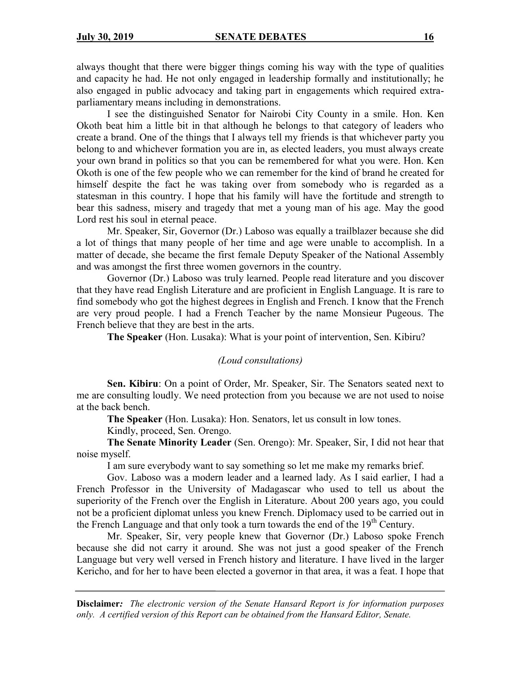always thought that there were bigger things coming his way with the type of qualities and capacity he had. He not only engaged in leadership formally and institutionally; he also engaged in public advocacy and taking part in engagements which required extraparliamentary means including in demonstrations.

I see the distinguished Senator for Nairobi City County in a smile. Hon. Ken Okoth beat him a little bit in that although he belongs to that category of leaders who create a brand. One of the things that I always tell my friends is that whichever party you belong to and whichever formation you are in, as elected leaders, you must always create your own brand in politics so that you can be remembered for what you were. Hon. Ken Okoth is one of the few people who we can remember for the kind of brand he created for himself despite the fact he was taking over from somebody who is regarded as a statesman in this country. I hope that his family will have the fortitude and strength to bear this sadness, misery and tragedy that met a young man of his age. May the good Lord rest his soul in eternal peace.

Mr. Speaker, Sir, Governor (Dr.) Laboso was equally a trailblazer because she did a lot of things that many people of her time and age were unable to accomplish. In a matter of decade, she became the first female Deputy Speaker of the National Assembly and was amongst the first three women governors in the country.

Governor (Dr.) Laboso was truly learned. People read literature and you discover that they have read English Literature and are proficient in English Language. It is rare to find somebody who got the highest degrees in English and French. I know that the French are very proud people. I had a French Teacher by the name Monsieur Pugeous. The French believe that they are best in the arts.

**The Speaker** (Hon. Lusaka): What is your point of intervention, Sen. Kibiru?

#### *(Loud consultations)*

**Sen. Kibiru**: On a point of Order, Mr. Speaker, Sir. The Senators seated next to me are consulting loudly. We need protection from you because we are not used to noise at the back bench.

**The Speaker** (Hon. Lusaka): Hon. Senators, let us consult in low tones.

Kindly, proceed, Sen. Orengo.

**The Senate Minority Leader** (Sen. Orengo): Mr. Speaker, Sir, I did not hear that noise myself.

I am sure everybody want to say something so let me make my remarks brief.

Gov. Laboso was a modern leader and a learned lady. As I said earlier, I had a French Professor in the University of Madagascar who used to tell us about the superiority of the French over the English in Literature. About 200 years ago, you could not be a proficient diplomat unless you knew French. Diplomacy used to be carried out in the French Language and that only took a turn towards the end of the  $19<sup>th</sup>$  Century.

Mr. Speaker, Sir, very people knew that Governor (Dr.) Laboso spoke French because she did not carry it around. She was not just a good speaker of the French Language but very well versed in French history and literature. I have lived in the larger Kericho, and for her to have been elected a governor in that area, it was a feat. I hope that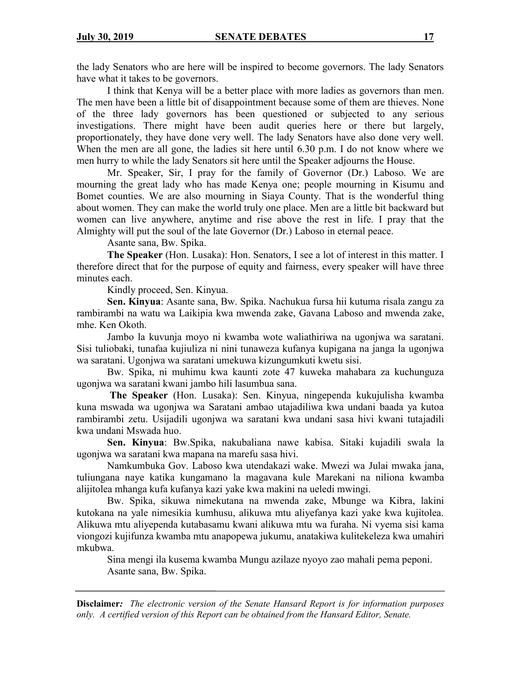the lady Senators who are here will be inspired to become governors. The lady Senators have what it takes to be governors.

I think that Kenya will be a better place with more ladies as governors than men. The men have been a little bit of disappointment because some of them are thieves. None of the three lady governors has been questioned or subjected to any serious investigations. There might have been audit queries here or there but largely, proportionately, they have done very well. The lady Senators have also done very well. When the men are all gone, the ladies sit here until 6.30 p.m. I do not know where we men hurry to while the lady Senators sit here until the Speaker adjourns the House.

Mr. Speaker, Sir, I pray for the family of Governor (Dr.) Laboso. We are mourning the great lady who has made Kenya one; people mourning in Kisumu and Bomet counties. We are also mourning in Siaya County. That is the wonderful thing about women. They can make the world truly one place. Men are a little bit backward but women can live anywhere, anytime and rise above the rest in life. I pray that the Almighty will put the soul of the late Governor (Dr.) Laboso in eternal peace.

Asante sana, Bw. Spika.

**The Speaker** (Hon. Lusaka): Hon. Senators, I see a lot of interest in this matter. I therefore direct that for the purpose of equity and fairness, every speaker will have three minutes each.

Kindly proceed, Sen. Kinyua.

**Sen. Kinyua**: Asante sana, Bw. Spika. Nachukua fursa hii kutuma risala zangu za rambirambi na watu wa Laikipia kwa mwenda zake, Gavana Laboso and mwenda zake, mhe. Ken Okoth.

Jambo la kuvunja moyo ni kwamba wote waliathiriwa na ugonjwa wa saratani. Sisi tuliobaki, tunafaa kujiuliza ni nini tunaweza kufanya kupigana na janga la ugonjwa wa saratani. Ugonjwa wa saratani umekuwa kizungumkuti kwetu sisi.

Bw. Spika, ni muhimu kwa kaunti zote 47 kuweka mahabara za kuchunguza ugonjwa wa saratani kwani jambo hili lasumbua sana.

**The Speaker** (Hon. Lusaka): Sen. Kinyua, ningependa kukujulisha kwamba kuna mswada wa ugonjwa wa Saratani ambao utajadiliwa kwa undani baada ya kutoa rambirambi zetu. Usijadili ugonjwa wa saratani kwa undani sasa hivi kwani tutajadili kwa undani Mswada huo.

**Sen. Kinyua**: Bw.Spika, nakubaliana nawe kabisa. Sitaki kujadili swala la ugonjwa wa saratani kwa mapana na marefu sasa hivi.

Namkumbuka Gov. Laboso kwa utendakazi wake. Mwezi wa Julai mwaka jana, tuliungana naye katika kungamano la magavana kule Marekani na niliona kwamba alijitolea mhanga kufa kufanya kazi yake kwa makini na ueledi mwingi.

Bw. Spika, sikuwa nimekutana na mwenda zake, Mbunge wa Kibra, lakini kutokana na yale nimesikia kumhusu, alikuwa mtu aliyefanya kazi yake kwa kujitolea. Alikuwa mtu aliyependa kutabasamu kwani alikuwa mtu wa furaha. Ni vyema sisi kama viongozi kujifunza kwamba mtu anapopewa jukumu, anatakiwa kulitekeleza kwa umahiri mkubwa.

Sina mengi ila kusema kwamba Mungu azilaze nyoyo zao mahali pema peponi. Asante sana, Bw. Spika.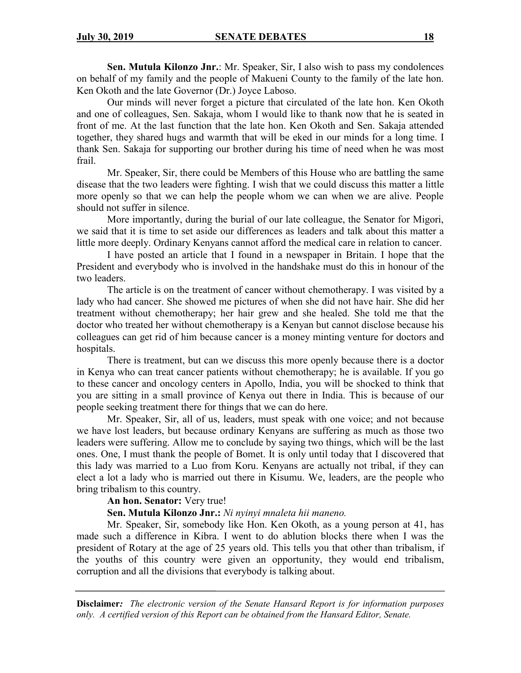**Sen. Mutula Kilonzo Jnr.**: Mr. Speaker, Sir, I also wish to pass my condolences on behalf of my family and the people of Makueni County to the family of the late hon. Ken Okoth and the late Governor (Dr.) Joyce Laboso.

Our minds will never forget a picture that circulated of the late hon. Ken Okoth and one of colleagues, Sen. Sakaja, whom I would like to thank now that he is seated in front of me. At the last function that the late hon. Ken Okoth and Sen. Sakaja attended together, they shared hugs and warmth that will be eked in our minds for a long time. I thank Sen. Sakaja for supporting our brother during his time of need when he was most frail.

Mr. Speaker, Sir, there could be Members of this House who are battling the same disease that the two leaders were fighting. I wish that we could discuss this matter a little more openly so that we can help the people whom we can when we are alive. People should not suffer in silence.

More importantly, during the burial of our late colleague, the Senator for Migori, we said that it is time to set aside our differences as leaders and talk about this matter a little more deeply. Ordinary Kenyans cannot afford the medical care in relation to cancer.

I have posted an article that I found in a newspaper in Britain. I hope that the President and everybody who is involved in the handshake must do this in honour of the two leaders.

The article is on the treatment of cancer without chemotherapy. I was visited by a lady who had cancer. She showed me pictures of when she did not have hair. She did her treatment without chemotherapy; her hair grew and she healed. She told me that the doctor who treated her without chemotherapy is a Kenyan but cannot disclose because his colleagues can get rid of him because cancer is a money minting venture for doctors and hospitals.

There is treatment, but can we discuss this more openly because there is a doctor in Kenya who can treat cancer patients without chemotherapy; he is available. If you go to these cancer and oncology centers in Apollo, India, you will be shocked to think that you are sitting in a small province of Kenya out there in India. This is because of our people seeking treatment there for things that we can do here.

Mr. Speaker, Sir, all of us, leaders, must speak with one voice; and not because we have lost leaders, but because ordinary Kenyans are suffering as much as those two leaders were suffering. Allow me to conclude by saying two things, which will be the last ones. One, I must thank the people of Bomet. It is only until today that I discovered that this lady was married to a Luo from Koru. Kenyans are actually not tribal, if they can elect a lot a lady who is married out there in Kisumu. We, leaders, are the people who bring tribalism to this country.

**An hon. Senator:** Very true!

#### **Sen. Mutula Kilonzo Jnr.:** *Ni nyinyi mnaleta hii maneno.*

Mr. Speaker, Sir, somebody like Hon. Ken Okoth, as a young person at 41, has made such a difference in Kibra. I went to do ablution blocks there when I was the president of Rotary at the age of 25 years old. This tells you that other than tribalism, if the youths of this country were given an opportunity, they would end tribalism, corruption and all the divisions that everybody is talking about.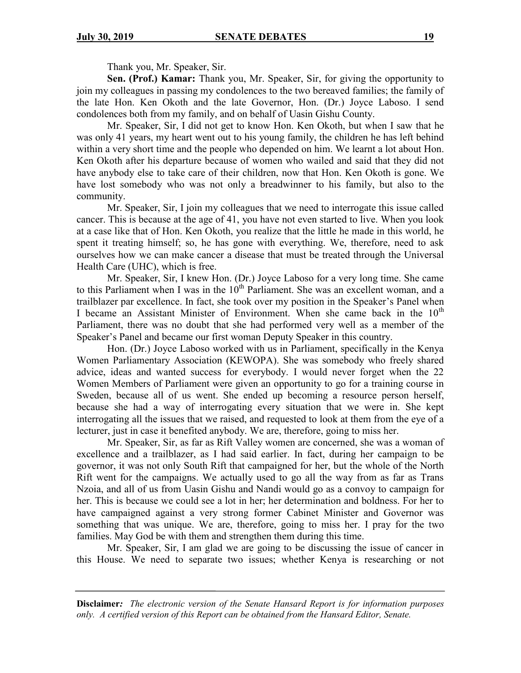Thank you, Mr. Speaker, Sir.

**Sen. (Prof.) Kamar:** Thank you, Mr. Speaker, Sir, for giving the opportunity to join my colleagues in passing my condolences to the two bereaved families; the family of the late Hon. Ken Okoth and the late Governor, Hon. (Dr.) Joyce Laboso. I send condolences both from my family, and on behalf of Uasin Gishu County.

Mr. Speaker, Sir, I did not get to know Hon. Ken Okoth, but when I saw that he was only 41 years, my heart went out to his young family, the children he has left behind within a very short time and the people who depended on him. We learnt a lot about Hon. Ken Okoth after his departure because of women who wailed and said that they did not have anybody else to take care of their children, now that Hon. Ken Okoth is gone. We have lost somebody who was not only a breadwinner to his family, but also to the community.

Mr. Speaker, Sir, I join my colleagues that we need to interrogate this issue called cancer. This is because at the age of 41, you have not even started to live. When you look at a case like that of Hon. Ken Okoth, you realize that the little he made in this world, he spent it treating himself; so, he has gone with everything. We, therefore, need to ask ourselves how we can make cancer a disease that must be treated through the Universal Health Care (UHC), which is free.

Mr. Speaker, Sir, I knew Hon. (Dr.) Joyce Laboso for a very long time. She came to this Parliament when I was in the  $10<sup>th</sup>$  Parliament. She was an excellent woman, and a trailblazer par excellence. In fact, she took over my position in the Speaker's Panel when I became an Assistant Minister of Environment. When she came back in the  $10<sup>th</sup>$ Parliament, there was no doubt that she had performed very well as a member of the Speaker's Panel and became our first woman Deputy Speaker in this country.

Hon. (Dr.) Joyce Laboso worked with us in Parliament, specifically in the Kenya Women Parliamentary Association (KEWOPA). She was somebody who freely shared advice, ideas and wanted success for everybody. I would never forget when the 22 Women Members of Parliament were given an opportunity to go for a training course in Sweden, because all of us went. She ended up becoming a resource person herself, because she had a way of interrogating every situation that we were in. She kept interrogating all the issues that we raised, and requested to look at them from the eye of a lecturer, just in case it benefited anybody. We are, therefore, going to miss her.

Mr. Speaker, Sir, as far as Rift Valley women are concerned, she was a woman of excellence and a trailblazer, as I had said earlier. In fact, during her campaign to be governor, it was not only South Rift that campaigned for her, but the whole of the North Rift went for the campaigns. We actually used to go all the way from as far as Trans Nzoia, and all of us from Uasin Gishu and Nandi would go as a convoy to campaign for her. This is because we could see a lot in her; her determination and boldness. For her to have campaigned against a very strong former Cabinet Minister and Governor was something that was unique. We are, therefore, going to miss her. I pray for the two families. May God be with them and strengthen them during this time.

Mr. Speaker, Sir, I am glad we are going to be discussing the issue of cancer in this House. We need to separate two issues; whether Kenya is researching or not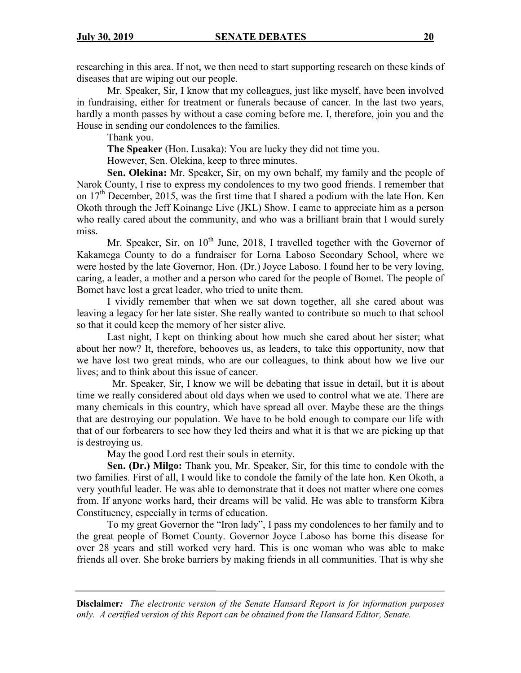researching in this area. If not, we then need to start supporting research on these kinds of diseases that are wiping out our people.

Mr. Speaker, Sir, I know that my colleagues, just like myself, have been involved in fundraising, either for treatment or funerals because of cancer. In the last two years, hardly a month passes by without a case coming before me. I, therefore, join you and the House in sending our condolences to the families.

Thank you.

**The Speaker** (Hon. Lusaka): You are lucky they did not time you.

However, Sen. Olekina, keep to three minutes.

**Sen. Olekina:** Mr. Speaker, Sir, on my own behalf, my family and the people of Narok County, I rise to express my condolences to my two good friends. I remember that on  $17<sup>th</sup>$  December, 2015, was the first time that I shared a podium with the late Hon. Ken Okoth through the Jeff Koinange Live (JKL) Show. I came to appreciate him as a person who really cared about the community, and who was a brilliant brain that I would surely miss.

Mr. Speaker, Sir, on  $10^{th}$  June, 2018, I travelled together with the Governor of Kakamega County to do a fundraiser for Lorna Laboso Secondary School, where we were hosted by the late Governor, Hon. (Dr.) Joyce Laboso. I found her to be very loving, caring, a leader, a mother and a person who cared for the people of Bomet. The people of Bomet have lost a great leader, who tried to unite them.

I vividly remember that when we sat down together, all she cared about was leaving a legacy for her late sister. She really wanted to contribute so much to that school so that it could keep the memory of her sister alive.

Last night, I kept on thinking about how much she cared about her sister; what about her now? It, therefore, behooves us, as leaders, to take this opportunity, now that we have lost two great minds, who are our colleagues, to think about how we live our lives; and to think about this issue of cancer.

 Mr. Speaker, Sir, I know we will be debating that issue in detail, but it is about time we really considered about old days when we used to control what we ate. There are many chemicals in this country, which have spread all over. Maybe these are the things that are destroying our population. We have to be bold enough to compare our life with that of our forbearers to see how they led theirs and what it is that we are picking up that is destroying us.

May the good Lord rest their souls in eternity.

**Sen. (Dr.) Milgo:** Thank you, Mr. Speaker, Sir, for this time to condole with the two families. First of all, I would like to condole the family of the late hon. Ken Okoth, a very youthful leader. He was able to demonstrate that it does not matter where one comes from. If anyone works hard, their dreams will be valid. He was able to transform Kibra Constituency, especially in terms of education.

To my great Governor the "Iron lady", I pass my condolences to her family and to the great people of Bomet County. Governor Joyce Laboso has borne this disease for over 28 years and still worked very hard. This is one woman who was able to make friends all over. She broke barriers by making friends in all communities. That is why she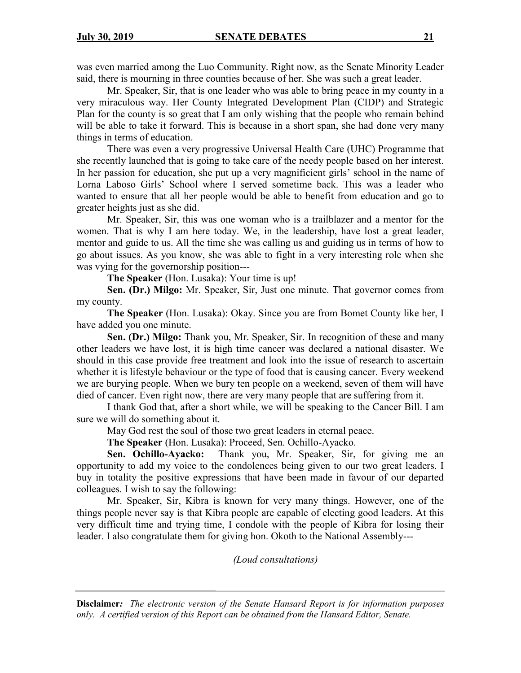was even married among the Luo Community. Right now, as the Senate Minority Leader said, there is mourning in three counties because of her. She was such a great leader.

Mr. Speaker, Sir, that is one leader who was able to bring peace in my county in a very miraculous way. Her County Integrated Development Plan (CIDP) and Strategic Plan for the county is so great that I am only wishing that the people who remain behind will be able to take it forward. This is because in a short span, she had done very many things in terms of education.

There was even a very progressive Universal Health Care (UHC) Programme that she recently launched that is going to take care of the needy people based on her interest. In her passion for education, she put up a very magnificient girls' school in the name of Lorna Laboso Girls' School where I served sometime back. This was a leader who wanted to ensure that all her people would be able to benefit from education and go to greater heights just as she did.

Mr. Speaker, Sir, this was one woman who is a trailblazer and a mentor for the women. That is why I am here today. We, in the leadership, have lost a great leader, mentor and guide to us. All the time she was calling us and guiding us in terms of how to go about issues. As you know, she was able to fight in a very interesting role when she was vying for the governorship position---

**The Speaker** (Hon. Lusaka): Your time is up!

**Sen. (Dr.) Milgo:** Mr. Speaker, Sir, Just one minute. That governor comes from my county.

**The Speaker** (Hon. Lusaka): Okay. Since you are from Bomet County like her, I have added you one minute.

**Sen. (Dr.) Milgo:** Thank you, Mr. Speaker, Sir. In recognition of these and many other leaders we have lost, it is high time cancer was declared a national disaster. We should in this case provide free treatment and look into the issue of research to ascertain whether it is lifestyle behaviour or the type of food that is causing cancer. Every weekend we are burying people. When we bury ten people on a weekend, seven of them will have died of cancer. Even right now, there are very many people that are suffering from it.

I thank God that, after a short while, we will be speaking to the Cancer Bill. I am sure we will do something about it.

May God rest the soul of those two great leaders in eternal peace.

**The Speaker** (Hon. Lusaka): Proceed, Sen. Ochillo-Ayacko.

**Sen. Ochillo-Ayacko:** Thank you, Mr. Speaker, Sir, for giving me an opportunity to add my voice to the condolences being given to our two great leaders. I buy in totality the positive expressions that have been made in favour of our departed colleagues. I wish to say the following:

Mr. Speaker, Sir, Kibra is known for very many things. However, one of the things people never say is that Kibra people are capable of electing good leaders. At this very difficult time and trying time, I condole with the people of Kibra for losing their leader. I also congratulate them for giving hon. Okoth to the National Assembly---

*(Loud consultations)*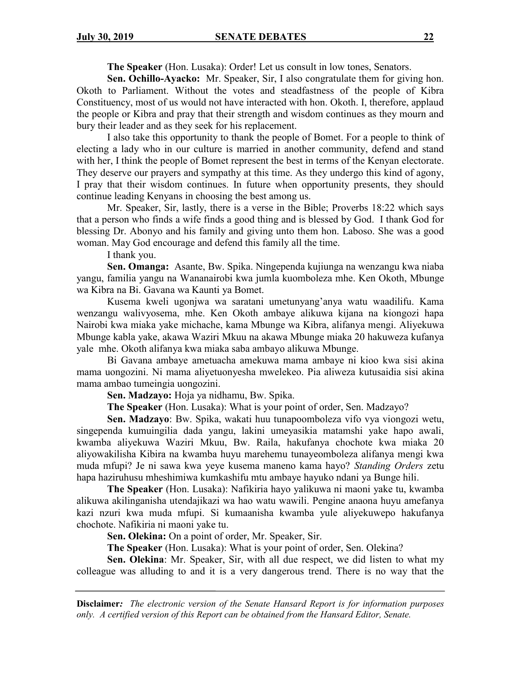**The Speaker** (Hon. Lusaka): Order! Let us consult in low tones, Senators.

**Sen. Ochillo-Ayacko:** Mr. Speaker, Sir, I also congratulate them for giving hon. Okoth to Parliament. Without the votes and steadfastness of the people of Kibra Constituency, most of us would not have interacted with hon. Okoth. I, therefore, applaud the people or Kibra and pray that their strength and wisdom continues as they mourn and bury their leader and as they seek for his replacement.

I also take this opportunity to thank the people of Bomet. For a people to think of electing a lady who in our culture is married in another community, defend and stand with her, I think the people of Bomet represent the best in terms of the Kenyan electorate. They deserve our prayers and sympathy at this time. As they undergo this kind of agony, I pray that their wisdom continues. In future when opportunity presents, they should continue leading Kenyans in choosing the best among us.

Mr. Speaker, Sir, lastly, there is a verse in the Bible; Proverbs 18:22 which says that a person who finds a wife finds a good thing and is blessed by God. I thank God for blessing Dr. Abonyo and his family and giving unto them hon. Laboso. She was a good woman. May God encourage and defend this family all the time.

I thank you.

**Sen. Omanga:** Asante, Bw. Spika. Ningependa kujiunga na wenzangu kwa niaba yangu, familia yangu na Wananairobi kwa jumla kuomboleza mhe. Ken Okoth, Mbunge wa Kibra na Bi. Gavana wa Kaunti ya Bomet.

Kusema kweli ugonjwa wa saratani umetunyang'anya watu waadilifu. Kama wenzangu walivyosema, mhe. Ken Okoth ambaye alikuwa kijana na kiongozi hapa Nairobi kwa miaka yake michache, kama Mbunge wa Kibra, alifanya mengi. Aliyekuwa Mbunge kabla yake, akawa Waziri Mkuu na akawa Mbunge miaka 20 hakuweza kufanya yale mhe. Okoth alifanya kwa miaka saba ambayo alikuwa Mbunge.

Bi Gavana ambaye ametuacha amekuwa mama ambaye ni kioo kwa sisi akina mama uongozini. Ni mama aliyetuonyesha mwelekeo. Pia aliweza kutusaidia sisi akina mama ambao tumeingia uongozini.

**Sen. Madzayo:** Hoja ya nidhamu, Bw. Spika.

**The Speaker** (Hon. Lusaka): What is your point of order, Sen. Madzayo?

**Sen. Madzayo**: Bw. Spika, wakati huu tunapoomboleza vifo vya viongozi wetu, singependa kumuingilia dada yangu, lakini umeyasikia matamshi yake hapo awali, kwamba aliyekuwa Waziri Mkuu, Bw. Raila, hakufanya chochote kwa miaka 20 aliyowakilisha Kibira na kwamba huyu marehemu tunayeomboleza alifanya mengi kwa muda mfupi? Je ni sawa kwa yeye kusema maneno kama hayo? *Standing Orders* zetu hapa haziruhusu mheshimiwa kumkashifu mtu ambaye hayuko ndani ya Bunge hili.

**The Speaker** (Hon. Lusaka): Nafikiria hayo yalikuwa ni maoni yake tu, kwamba alikuwa akilinganisha utendajikazi wa hao watu wawili. Pengine anaona huyu amefanya kazi nzuri kwa muda mfupi. Si kumaanisha kwamba yule aliyekuwepo hakufanya chochote. Nafikiria ni maoni yake tu.

**Sen. Olekina:** On a point of order, Mr. Speaker, Sir.

**The Speaker** (Hon. Lusaka): What is your point of order, Sen. Olekina?

**Sen. Olekina**: Mr. Speaker, Sir, with all due respect, we did listen to what my colleague was alluding to and it is a very dangerous trend. There is no way that the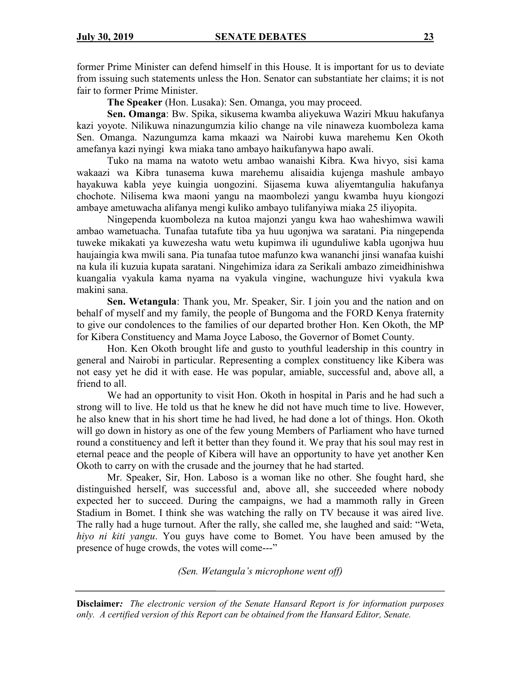former Prime Minister can defend himself in this House. It is important for us to deviate from issuing such statements unless the Hon. Senator can substantiate her claims; it is not fair to former Prime Minister.

**The Speaker** (Hon. Lusaka): Sen. Omanga, you may proceed.

**Sen. Omanga**: Bw. Spika, sikusema kwamba aliyekuwa Waziri Mkuu hakufanya kazi yoyote. Nilikuwa ninazungumzia kilio change na vile ninaweza kuomboleza kama Sen. Omanga. Nazungumza kama mkaazi wa Nairobi kuwa marehemu Ken Okoth amefanya kazi nyingi kwa miaka tano ambayo haikufanywa hapo awali.

Tuko na mama na watoto wetu ambao wanaishi Kibra. Kwa hivyo, sisi kama wakaazi wa Kibra tunasema kuwa marehemu alisaidia kujenga mashule ambayo hayakuwa kabla yeye kuingia uongozini. Sijasema kuwa aliyemtangulia hakufanya chochote. Nilisema kwa maoni yangu na maombolezi yangu kwamba huyu kiongozi ambaye ametuwacha alifanya mengi kuliko ambayo tulifanyiwa miaka 25 iliyopita.

Ningependa kuomboleza na kutoa majonzi yangu kwa hao waheshimwa wawili ambao wametuacha. Tunafaa tutafute tiba ya huu ugonjwa wa saratani. Pia ningependa tuweke mikakati ya kuwezesha watu wetu kupimwa ili ugunduliwe kabla ugonjwa huu haujaingia kwa mwili sana. Pia tunafaa tutoe mafunzo kwa wananchi jinsi wanafaa kuishi na kula ili kuzuia kupata saratani. Ningehimiza idara za Serikali ambazo zimeidhinishwa kuangalia vyakula kama nyama na vyakula vingine, wachunguze hivi vyakula kwa makini sana.

**Sen. Wetangula**: Thank you, Mr. Speaker, Sir. I join you and the nation and on behalf of myself and my family, the people of Bungoma and the FORD Kenya fraternity to give our condolences to the families of our departed brother Hon. Ken Okoth, the MP for Kibera Constituency and Mama Joyce Laboso, the Governor of Bomet County.

Hon. Ken Okoth brought life and gusto to youthful leadership in this country in general and Nairobi in particular. Representing a complex constituency like Kibera was not easy yet he did it with ease. He was popular, amiable, successful and, above all, a friend to all.

We had an opportunity to visit Hon. Okoth in hospital in Paris and he had such a strong will to live. He told us that he knew he did not have much time to live. However, he also knew that in his short time he had lived, he had done a lot of things. Hon. Okoth will go down in history as one of the few young Members of Parliament who have turned round a constituency and left it better than they found it. We pray that his soul may rest in eternal peace and the people of Kibera will have an opportunity to have yet another Ken Okoth to carry on with the crusade and the journey that he had started.

Mr. Speaker, Sir, Hon. Laboso is a woman like no other. She fought hard, she distinguished herself, was successful and, above all, she succeeded where nobody expected her to succeed. During the campaigns, we had a mammoth rally in Green Stadium in Bomet. I think she was watching the rally on TV because it was aired live. The rally had a huge turnout. After the rally, she called me, she laughed and said: "Weta, *hiyo ni kiti yangu*. You guys have come to Bomet. You have been amused by the presence of huge crowds, the votes will come---"

*(Sen. Wetangula's microphone went off)*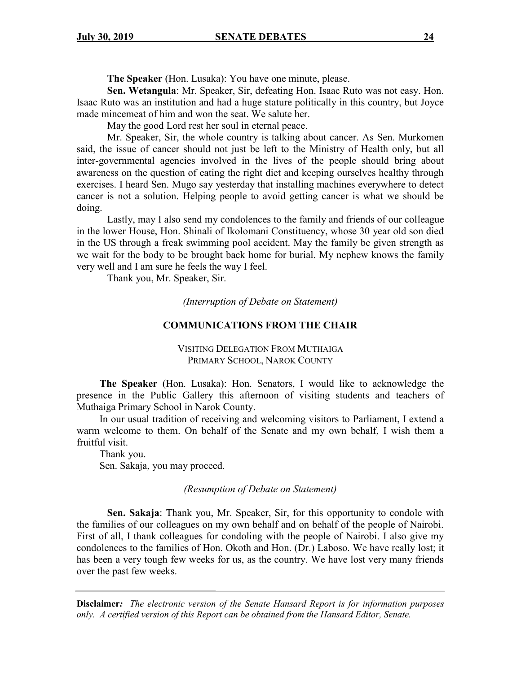**The Speaker** (Hon. Lusaka): You have one minute, please.

**Sen. Wetangula**: Mr. Speaker, Sir, defeating Hon. Isaac Ruto was not easy. Hon. Isaac Ruto was an institution and had a huge stature politically in this country, but Joyce made mincemeat of him and won the seat. We salute her.

May the good Lord rest her soul in eternal peace.

Mr. Speaker, Sir, the whole country is talking about cancer. As Sen. Murkomen said, the issue of cancer should not just be left to the Ministry of Health only, but all inter-governmental agencies involved in the lives of the people should bring about awareness on the question of eating the right diet and keeping ourselves healthy through exercises. I heard Sen. Mugo say yesterday that installing machines everywhere to detect cancer is not a solution. Helping people to avoid getting cancer is what we should be doing.

Lastly, may I also send my condolences to the family and friends of our colleague in the lower House, Hon. Shinali of Ikolomani Constituency, whose 30 year old son died in the US through a freak swimming pool accident. May the family be given strength as we wait for the body to be brought back home for burial. My nephew knows the family very well and I am sure he feels the way I feel.

Thank you, Mr. Speaker, Sir.

*(Interruption of Debate on Statement)*

#### **COMMUNICATIONS FROM THE CHAIR**

VISITING DELEGATION FROM MUTHAIGA PRIMARY SCHOOL, NAROK COUNTY

**The Speaker** (Hon. Lusaka): Hon. Senators, I would like to acknowledge the presence in the Public Gallery this afternoon of visiting students and teachers of Muthaiga Primary School in Narok County.

In our usual tradition of receiving and welcoming visitors to Parliament, I extend a warm welcome to them. On behalf of the Senate and my own behalf, I wish them a fruitful visit.

Thank you. Sen. Sakaja, you may proceed.

*(Resumption of Debate on Statement)*

**Sen. Sakaja**: Thank you, Mr. Speaker, Sir, for this opportunity to condole with the families of our colleagues on my own behalf and on behalf of the people of Nairobi. First of all, I thank colleagues for condoling with the people of Nairobi. I also give my condolences to the families of Hon. Okoth and Hon. (Dr.) Laboso. We have really lost; it has been a very tough few weeks for us, as the country. We have lost very many friends over the past few weeks.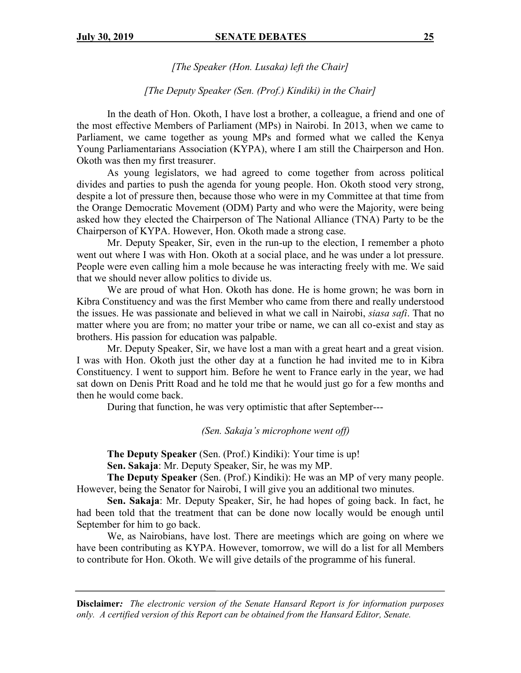*[The Speaker (Hon. Lusaka) left the Chair]*

### *[The Deputy Speaker (Sen. (Prof.) Kindiki) in the Chair]*

In the death of Hon. Okoth, I have lost a brother, a colleague, a friend and one of the most effective Members of Parliament (MPs) in Nairobi. In 2013, when we came to Parliament, we came together as young MPs and formed what we called the Kenya Young Parliamentarians Association (KYPA), where I am still the Chairperson and Hon. Okoth was then my first treasurer.

As young legislators, we had agreed to come together from across political divides and parties to push the agenda for young people. Hon. Okoth stood very strong, despite a lot of pressure then, because those who were in my Committee at that time from the Orange Democratic Movement (ODM) Party and who were the Majority, were being asked how they elected the Chairperson of The National Alliance (TNA) Party to be the Chairperson of KYPA. However, Hon. Okoth made a strong case.

Mr. Deputy Speaker, Sir, even in the run-up to the election, I remember a photo went out where I was with Hon. Okoth at a social place, and he was under a lot pressure. People were even calling him a mole because he was interacting freely with me. We said that we should never allow politics to divide us.

We are proud of what Hon. Okoth has done. He is home grown; he was born in Kibra Constituency and was the first Member who came from there and really understood the issues. He was passionate and believed in what we call in Nairobi, *siasa safi*. That no matter where you are from; no matter your tribe or name, we can all co-exist and stay as brothers. His passion for education was palpable.

Mr. Deputy Speaker, Sir, we have lost a man with a great heart and a great vision. I was with Hon. Okoth just the other day at a function he had invited me to in Kibra Constituency. I went to support him. Before he went to France early in the year, we had sat down on Denis Pritt Road and he told me that he would just go for a few months and then he would come back.

During that function, he was very optimistic that after September---

*(Sen. Sakaja's microphone went off)*

**The Deputy Speaker** (Sen. (Prof.) Kindiki): Your time is up!

**Sen. Sakaja**: Mr. Deputy Speaker, Sir, he was my MP.

**The Deputy Speaker** (Sen. (Prof.) Kindiki): He was an MP of very many people. However, being the Senator for Nairobi, I will give you an additional two minutes.

**Sen. Sakaja**: Mr. Deputy Speaker, Sir, he had hopes of going back. In fact, he had been told that the treatment that can be done now locally would be enough until September for him to go back.

We, as Nairobians, have lost. There are meetings which are going on where we have been contributing as KYPA. However, tomorrow, we will do a list for all Members to contribute for Hon. Okoth. We will give details of the programme of his funeral.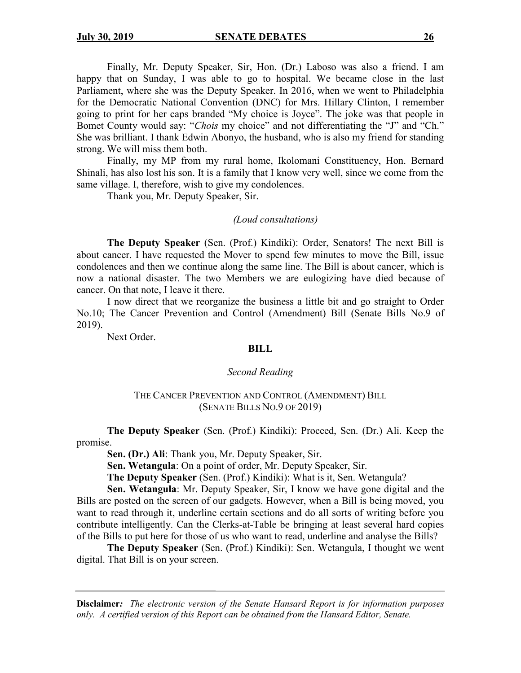Finally, Mr. Deputy Speaker, Sir, Hon. (Dr.) Laboso was also a friend. I am happy that on Sunday, I was able to go to hospital. We became close in the last Parliament, where she was the Deputy Speaker. In 2016, when we went to Philadelphia for the Democratic National Convention (DNC) for Mrs. Hillary Clinton, I remember going to print for her caps branded "My choice is Joyce". The joke was that people in Bomet County would say: "*Chois* my choice" and not differentiating the "J" and "Ch." She was brilliant. I thank Edwin Abonyo, the husband, who is also my friend for standing strong. We will miss them both.

Finally, my MP from my rural home, Ikolomani Constituency, Hon. Bernard Shinali, has also lost his son. It is a family that I know very well, since we come from the same village. I, therefore, wish to give my condolences.

Thank you, Mr. Deputy Speaker, Sir.

#### *(Loud consultations)*

**The Deputy Speaker** (Sen. (Prof.) Kindiki): Order, Senators! The next Bill is about cancer. I have requested the Mover to spend few minutes to move the Bill, issue condolences and then we continue along the same line. The Bill is about cancer, which is now a national disaster. The two Members we are eulogizing have died because of cancer. On that note, I leave it there.

I now direct that we reorganize the business a little bit and go straight to Order No.10; The Cancer Prevention and Control (Amendment) Bill (Senate Bills No.9 of 2019).

Next Order.

#### **BILL**

#### *Second Reading*

#### THE CANCER PREVENTION AND CONTROL (AMENDMENT) BILL (SENATE BILLS NO.9 OF 2019)

**The Deputy Speaker** (Sen. (Prof.) Kindiki): Proceed, Sen. (Dr.) Ali. Keep the promise.

**Sen. (Dr.) Ali**: Thank you, Mr. Deputy Speaker, Sir.

**Sen. Wetangula**: On a point of order, Mr. Deputy Speaker, Sir.

**The Deputy Speaker** (Sen. (Prof.) Kindiki): What is it, Sen. Wetangula?

**Sen. Wetangula**: Mr. Deputy Speaker, Sir, I know we have gone digital and the Bills are posted on the screen of our gadgets. However, when a Bill is being moved, you want to read through it, underline certain sections and do all sorts of writing before you contribute intelligently. Can the Clerks-at-Table be bringing at least several hard copies of the Bills to put here for those of us who want to read, underline and analyse the Bills?

**The Deputy Speaker** (Sen. (Prof.) Kindiki): Sen. Wetangula, I thought we went digital. That Bill is on your screen.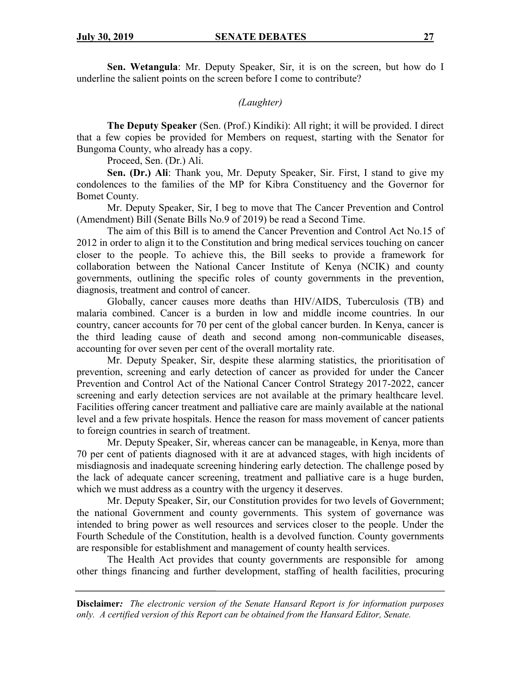**Sen. Wetangula**: Mr. Deputy Speaker, Sir, it is on the screen, but how do I underline the salient points on the screen before I come to contribute?

## *(Laughter)*

**The Deputy Speaker** (Sen. (Prof.) Kindiki): All right; it will be provided. I direct that a few copies be provided for Members on request, starting with the Senator for Bungoma County, who already has a copy.

Proceed, Sen. (Dr.) Ali.

**Sen. (Dr.) Ali**: Thank you, Mr. Deputy Speaker, Sir. First, I stand to give my condolences to the families of the MP for Kibra Constituency and the Governor for Bomet County.

Mr. Deputy Speaker, Sir, I beg to move that The Cancer Prevention and Control (Amendment) Bill (Senate Bills No.9 of 2019) be read a Second Time.

The aim of this Bill is to amend the Cancer Prevention and Control Act No.15 of 2012 in order to align it to the Constitution and bring medical services touching on cancer closer to the people. To achieve this, the Bill seeks to provide a framework for collaboration between the National Cancer Institute of Kenya (NCIK) and county governments, outlining the specific roles of county governments in the prevention, diagnosis, treatment and control of cancer.

Globally, cancer causes more deaths than HIV/AIDS, Tuberculosis (TB) and malaria combined. Cancer is a burden in low and middle income countries. In our country, cancer accounts for 70 per cent of the global cancer burden. In Kenya, cancer is the third leading cause of death and second among non-communicable diseases, accounting for over seven per cent of the overall mortality rate.

Mr. Deputy Speaker, Sir, despite these alarming statistics, the prioritisation of prevention, screening and early detection of cancer as provided for under the Cancer Prevention and Control Act of the National Cancer Control Strategy 2017-2022, cancer screening and early detection services are not available at the primary healthcare level. Facilities offering cancer treatment and palliative care are mainly available at the national level and a few private hospitals. Hence the reason for mass movement of cancer patients to foreign countries in search of treatment.

Mr. Deputy Speaker, Sir, whereas cancer can be manageable, in Kenya, more than 70 per cent of patients diagnosed with it are at advanced stages, with high incidents of misdiagnosis and inadequate screening hindering early detection. The challenge posed by the lack of adequate cancer screening, treatment and palliative care is a huge burden, which we must address as a country with the urgency it deserves.

Mr. Deputy Speaker, Sir, our Constitution provides for two levels of Government; the national Government and county governments. This system of governance was intended to bring power as well resources and services closer to the people. Under the Fourth Schedule of the Constitution, health is a devolved function. County governments are responsible for establishment and management of county health services.

The Health Act provides that county governments are responsible for among other things financing and further development, staffing of health facilities, procuring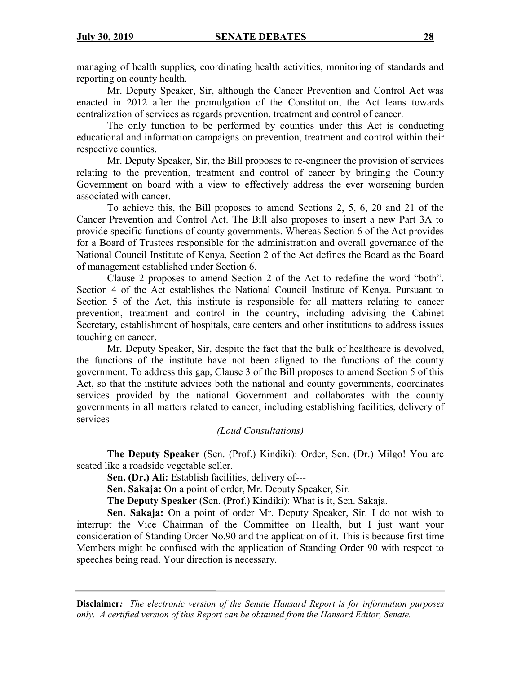managing of health supplies, coordinating health activities, monitoring of standards and reporting on county health.

Mr. Deputy Speaker, Sir, although the Cancer Prevention and Control Act was enacted in 2012 after the promulgation of the Constitution, the Act leans towards centralization of services as regards prevention, treatment and control of cancer.

The only function to be performed by counties under this Act is conducting educational and information campaigns on prevention, treatment and control within their respective counties.

Mr. Deputy Speaker, Sir, the Bill proposes to re-engineer the provision of services relating to the prevention, treatment and control of cancer by bringing the County Government on board with a view to effectively address the ever worsening burden associated with cancer.

To achieve this, the Bill proposes to amend Sections 2, 5, 6, 20 and 21 of the Cancer Prevention and Control Act. The Bill also proposes to insert a new Part 3A to provide specific functions of county governments. Whereas Section 6 of the Act provides for a Board of Trustees responsible for the administration and overall governance of the National Council Institute of Kenya, Section 2 of the Act defines the Board as the Board of management established under Section 6.

Clause 2 proposes to amend Section 2 of the Act to redefine the word "both". Section 4 of the Act establishes the National Council Institute of Kenya. Pursuant to Section 5 of the Act, this institute is responsible for all matters relating to cancer prevention, treatment and control in the country, including advising the Cabinet Secretary, establishment of hospitals, care centers and other institutions to address issues touching on cancer.

Mr. Deputy Speaker, Sir, despite the fact that the bulk of healthcare is devolved, the functions of the institute have not been aligned to the functions of the county government. To address this gap, Clause 3 of the Bill proposes to amend Section 5 of this Act, so that the institute advices both the national and county governments, coordinates services provided by the national Government and collaborates with the county governments in all matters related to cancer, including establishing facilities, delivery of services---

## *(Loud Consultations)*

**The Deputy Speaker** (Sen. (Prof.) Kindiki): Order, Sen. (Dr.) Milgo! You are seated like a roadside vegetable seller.

**Sen. (Dr.) Ali:** Establish facilities, delivery of---

**Sen. Sakaja:** On a point of order, Mr. Deputy Speaker, Sir.

**The Deputy Speaker** (Sen. (Prof.) Kindiki): What is it, Sen. Sakaja.

**Sen. Sakaja:** On a point of order Mr. Deputy Speaker, Sir. I do not wish to interrupt the Vice Chairman of the Committee on Health, but I just want your consideration of Standing Order No.90 and the application of it. This is because first time Members might be confused with the application of Standing Order 90 with respect to speeches being read. Your direction is necessary.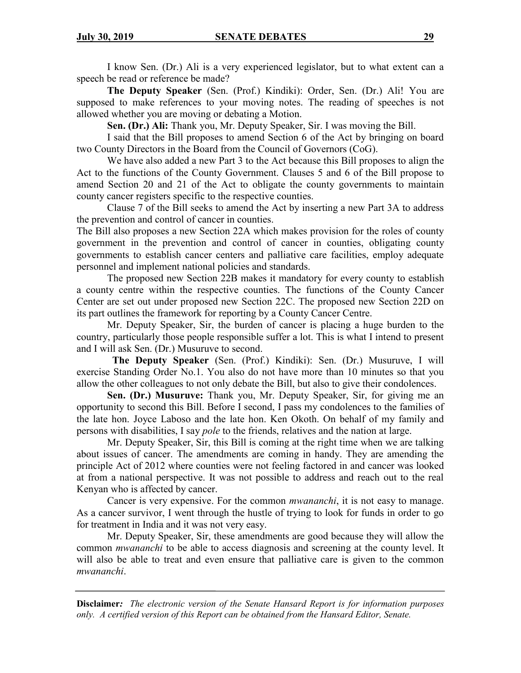I know Sen. (Dr.) Ali is a very experienced legislator, but to what extent can a speech be read or reference be made?

**The Deputy Speaker** (Sen. (Prof.) Kindiki): Order, Sen. (Dr.) Ali! You are supposed to make references to your moving notes. The reading of speeches is not allowed whether you are moving or debating a Motion.

**Sen. (Dr.) Ali:** Thank you, Mr. Deputy Speaker, Sir. I was moving the Bill.

I said that the Bill proposes to amend Section 6 of the Act by bringing on board two County Directors in the Board from the Council of Governors (CoG).

We have also added a new Part 3 to the Act because this Bill proposes to align the Act to the functions of the County Government. Clauses 5 and 6 of the Bill propose to amend Section 20 and 21 of the Act to obligate the county governments to maintain county cancer registers specific to the respective counties.

Clause 7 of the Bill seeks to amend the Act by inserting a new Part 3A to address the prevention and control of cancer in counties.

The Bill also proposes a new Section 22A which makes provision for the roles of county government in the prevention and control of cancer in counties, obligating county governments to establish cancer centers and palliative care facilities, employ adequate personnel and implement national policies and standards.

The proposed new Section 22B makes it mandatory for every county to establish a county centre within the respective counties. The functions of the County Cancer Center are set out under proposed new Section 22C. The proposed new Section 22D on its part outlines the framework for reporting by a County Cancer Centre.

Mr. Deputy Speaker, Sir, the burden of cancer is placing a huge burden to the country, particularly those people responsible suffer a lot. This is what I intend to present and I will ask Sen. (Dr.) Musuruve to second.

 **The Deputy Speaker** (Sen. (Prof.) Kindiki): Sen. (Dr.) Musuruve, I will exercise Standing Order No.1. You also do not have more than 10 minutes so that you allow the other colleagues to not only debate the Bill, but also to give their condolences.

**Sen. (Dr.) Musuruve:** Thank you, Mr. Deputy Speaker, Sir, for giving me an opportunity to second this Bill. Before I second, I pass my condolences to the families of the late hon. Joyce Laboso and the late hon. Ken Okoth. On behalf of my family and persons with disabilities, I say *pole* to the friends, relatives and the nation at large.

Mr. Deputy Speaker, Sir, this Bill is coming at the right time when we are talking about issues of cancer. The amendments are coming in handy. They are amending the principle Act of 2012 where counties were not feeling factored in and cancer was looked at from a national perspective. It was not possible to address and reach out to the real Kenyan who is affected by cancer.

Cancer is very expensive. For the common *mwananchi*, it is not easy to manage. As a cancer survivor, I went through the hustle of trying to look for funds in order to go for treatment in India and it was not very easy.

Mr. Deputy Speaker, Sir, these amendments are good because they will allow the common *mwananchi* to be able to access diagnosis and screening at the county level. It will also be able to treat and even ensure that palliative care is given to the common *mwananchi*.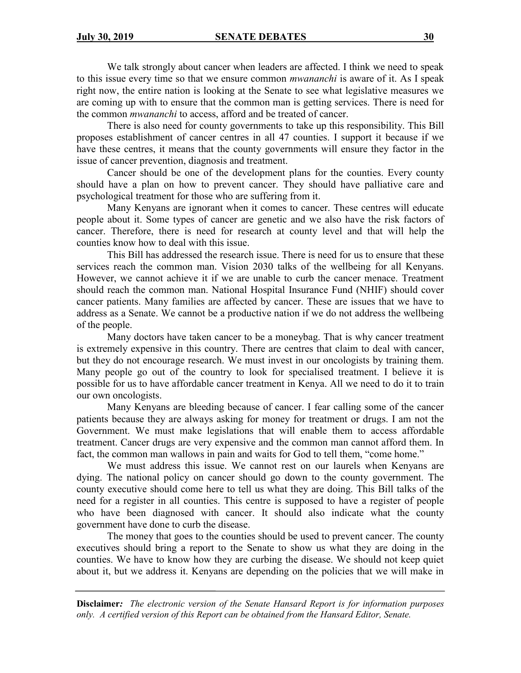We talk strongly about cancer when leaders are affected. I think we need to speak to this issue every time so that we ensure common *mwananchi* is aware of it. As I speak right now, the entire nation is looking at the Senate to see what legislative measures we are coming up with to ensure that the common man is getting services. There is need for the common *mwananchi* to access, afford and be treated of cancer.

There is also need for county governments to take up this responsibility. This Bill proposes establishment of cancer centres in all 47 counties. I support it because if we have these centres, it means that the county governments will ensure they factor in the issue of cancer prevention, diagnosis and treatment.

Cancer should be one of the development plans for the counties. Every county should have a plan on how to prevent cancer. They should have palliative care and psychological treatment for those who are suffering from it.

Many Kenyans are ignorant when it comes to cancer. These centres will educate people about it. Some types of cancer are genetic and we also have the risk factors of cancer. Therefore, there is need for research at county level and that will help the counties know how to deal with this issue.

This Bill has addressed the research issue. There is need for us to ensure that these services reach the common man. Vision 2030 talks of the wellbeing for all Kenyans. However, we cannot achieve it if we are unable to curb the cancer menace. Treatment should reach the common man. National Hospital Insurance Fund (NHIF) should cover cancer patients. Many families are affected by cancer. These are issues that we have to address as a Senate. We cannot be a productive nation if we do not address the wellbeing of the people.

Many doctors have taken cancer to be a moneybag. That is why cancer treatment is extremely expensive in this country. There are centres that claim to deal with cancer, but they do not encourage research. We must invest in our oncologists by training them. Many people go out of the country to look for specialised treatment. I believe it is possible for us to have affordable cancer treatment in Kenya. All we need to do it to train our own oncologists.

Many Kenyans are bleeding because of cancer. I fear calling some of the cancer patients because they are always asking for money for treatment or drugs. I am not the Government. We must make legislations that will enable them to access affordable treatment. Cancer drugs are very expensive and the common man cannot afford them. In fact, the common man wallows in pain and waits for God to tell them, "come home."

We must address this issue. We cannot rest on our laurels when Kenyans are dying. The national policy on cancer should go down to the county government. The county executive should come here to tell us what they are doing. This Bill talks of the need for a register in all counties. This centre is supposed to have a register of people who have been diagnosed with cancer. It should also indicate what the county government have done to curb the disease.

The money that goes to the counties should be used to prevent cancer. The county executives should bring a report to the Senate to show us what they are doing in the counties. We have to know how they are curbing the disease. We should not keep quiet about it, but we address it. Kenyans are depending on the policies that we will make in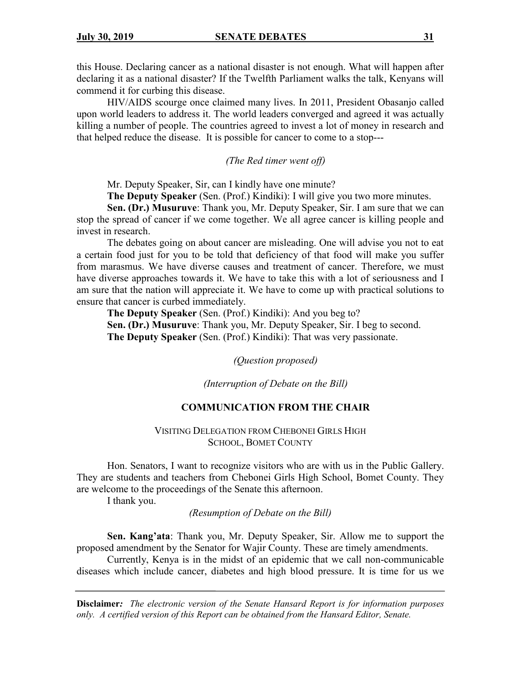this House. Declaring cancer as a national disaster is not enough. What will happen after declaring it as a national disaster? If the Twelfth Parliament walks the talk, Kenyans will commend it for curbing this disease.

HIV/AIDS scourge once claimed many lives. In 2011, President Obasanjo called upon world leaders to address it. The world leaders converged and agreed it was actually killing a number of people. The countries agreed to invest a lot of money in research and that helped reduce the disease. It is possible for cancer to come to a stop---

*(The Red timer went off)*

Mr. Deputy Speaker, Sir, can I kindly have one minute?

**The Deputy Speaker** (Sen. (Prof.) Kindiki): I will give you two more minutes.

**Sen. (Dr.) Musuruve**: Thank you, Mr. Deputy Speaker, Sir. I am sure that we can stop the spread of cancer if we come together. We all agree cancer is killing people and invest in research.

The debates going on about cancer are misleading. One will advise you not to eat a certain food just for you to be told that deficiency of that food will make you suffer from marasmus. We have diverse causes and treatment of cancer. Therefore, we must have diverse approaches towards it. We have to take this with a lot of seriousness and I am sure that the nation will appreciate it. We have to come up with practical solutions to ensure that cancer is curbed immediately.

**The Deputy Speaker** (Sen. (Prof.) Kindiki): And you beg to? **Sen. (Dr.) Musuruve**: Thank you, Mr. Deputy Speaker, Sir. I beg to second. **The Deputy Speaker** (Sen. (Prof.) Kindiki): That was very passionate.

*(Question proposed)*

*(Interruption of Debate on the Bill)*

## **COMMUNICATION FROM THE CHAIR**

VISITING DELEGATION FROM CHEBONEI GIRLS HIGH SCHOOL, BOMET COUNTY

Hon. Senators, I want to recognize visitors who are with us in the Public Gallery. They are students and teachers from Chebonei Girls High School, Bomet County. They are welcome to the proceedings of the Senate this afternoon.

I thank you.

*(Resumption of Debate on the Bill)*

**Sen. Kang'ata**: Thank you, Mr. Deputy Speaker, Sir. Allow me to support the proposed amendment by the Senator for Wajir County. These are timely amendments.

Currently, Kenya is in the midst of an epidemic that we call non-communicable diseases which include cancer, diabetes and high blood pressure. It is time for us we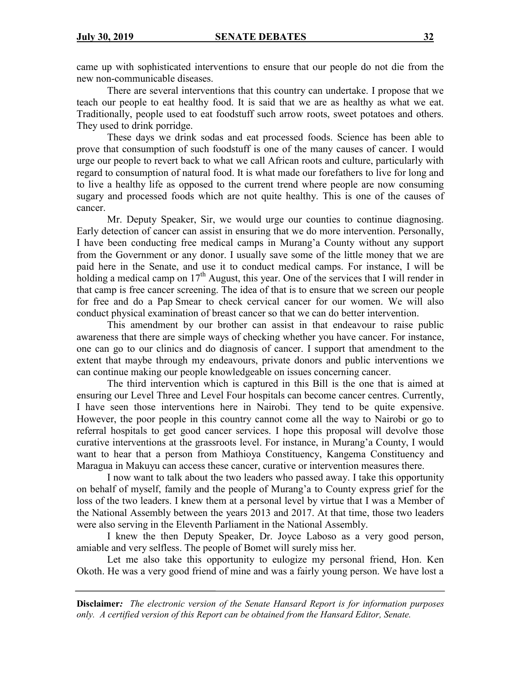came up with sophisticated interventions to ensure that our people do not die from the new non-communicable diseases.

There are several interventions that this country can undertake. I propose that we teach our people to eat healthy food. It is said that we are as healthy as what we eat. Traditionally, people used to eat foodstuff such arrow roots, sweet potatoes and others. They used to drink porridge.

These days we drink sodas and eat processed foods. Science has been able to prove that consumption of such foodstuff is one of the many causes of cancer. I would urge our people to revert back to what we call African roots and culture, particularly with regard to consumption of natural food. It is what made our forefathers to live for long and to live a healthy life as opposed to the current trend where people are now consuming sugary and processed foods which are not quite healthy. This is one of the causes of cancer.

Mr. Deputy Speaker, Sir, we would urge our counties to continue diagnosing. Early detection of cancer can assist in ensuring that we do more intervention. Personally, I have been conducting free medical camps in Murang'a County without any support from the Government or any donor. I usually save some of the little money that we are paid here in the Senate, and use it to conduct medical camps. For instance, I will be holding a medical camp on 17<sup>th</sup> August, this year. One of the services that I will render in that camp is free cancer screening. The idea of that is to ensure that we screen our people for free and do a Pap Smear to check cervical cancer for our women. We will also conduct physical examination of breast cancer so that we can do better intervention.

This amendment by our brother can assist in that endeavour to raise public awareness that there are simple ways of checking whether you have cancer. For instance, one can go to our clinics and do diagnosis of cancer. I support that amendment to the extent that maybe through my endeavours, private donors and public interventions we can continue making our people knowledgeable on issues concerning cancer.

The third intervention which is captured in this Bill is the one that is aimed at ensuring our Level Three and Level Four hospitals can become cancer centres. Currently, I have seen those interventions here in Nairobi. They tend to be quite expensive. However, the poor people in this country cannot come all the way to Nairobi or go to referral hospitals to get good cancer services. I hope this proposal will devolve those curative interventions at the grassroots level. For instance, in Murang'a County, I would want to hear that a person from Mathioya Constituency, Kangema Constituency and Maragua in Makuyu can access these cancer, curative or intervention measures there.

I now want to talk about the two leaders who passed away. I take this opportunity on behalf of myself, family and the people of Murang'a to County express grief for the loss of the two leaders. I knew them at a personal level by virtue that I was a Member of the National Assembly between the years 2013 and 2017. At that time, those two leaders were also serving in the Eleventh Parliament in the National Assembly.

I knew the then Deputy Speaker, Dr. Joyce Laboso as a very good person, amiable and very selfless. The people of Bomet will surely miss her.

Let me also take this opportunity to eulogize my personal friend, Hon. Ken Okoth. He was a very good friend of mine and was a fairly young person. We have lost a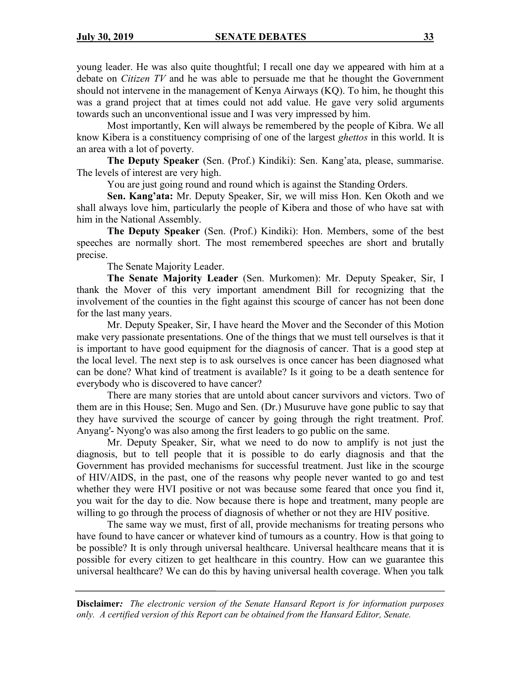young leader. He was also quite thoughtful; I recall one day we appeared with him at a debate on *Citizen TV* and he was able to persuade me that he thought the Government should not intervene in the management of Kenya Airways (KQ). To him, he thought this was a grand project that at times could not add value. He gave very solid arguments towards such an unconventional issue and I was very impressed by him.

Most importantly, Ken will always be remembered by the people of Kibra. We all know Kibera is a constituency comprising of one of the largest *ghettos* in this world. It is an area with a lot of poverty.

**The Deputy Speaker** (Sen. (Prof.) Kindiki): Sen. Kang'ata, please, summarise. The levels of interest are very high.

You are just going round and round which is against the Standing Orders.

**Sen. Kang'ata:** Mr. Deputy Speaker, Sir, we will miss Hon. Ken Okoth and we shall always love him, particularly the people of Kibera and those of who have sat with him in the National Assembly.

**The Deputy Speaker** (Sen. (Prof.) Kindiki): Hon. Members, some of the best speeches are normally short. The most remembered speeches are short and brutally precise.

The Senate Majority Leader.

**The Senate Majority Leader** (Sen. Murkomen): Mr. Deputy Speaker, Sir, I thank the Mover of this very important amendment Bill for recognizing that the involvement of the counties in the fight against this scourge of cancer has not been done for the last many years.

Mr. Deputy Speaker, Sir, I have heard the Mover and the Seconder of this Motion make very passionate presentations. One of the things that we must tell ourselves is that it is important to have good equipment for the diagnosis of cancer. That is a good step at the local level. The next step is to ask ourselves is once cancer has been diagnosed what can be done? What kind of treatment is available? Is it going to be a death sentence for everybody who is discovered to have cancer?

There are many stories that are untold about cancer survivors and victors. Two of them are in this House; Sen. Mugo and Sen. (Dr.) Musuruve have gone public to say that they have survived the scourge of cancer by going through the right treatment. Prof. Anyang'- Nyong'o was also among the first leaders to go public on the same.

Mr. Deputy Speaker, Sir, what we need to do now to amplify is not just the diagnosis, but to tell people that it is possible to do early diagnosis and that the Government has provided mechanisms for successful treatment. Just like in the scourge of HIV/AIDS, in the past, one of the reasons why people never wanted to go and test whether they were HVI positive or not was because some feared that once you find it, you wait for the day to die. Now because there is hope and treatment, many people are willing to go through the process of diagnosis of whether or not they are HIV positive.

The same way we must, first of all, provide mechanisms for treating persons who have found to have cancer or whatever kind of tumours as a country. How is that going to be possible? It is only through universal healthcare. Universal healthcare means that it is possible for every citizen to get healthcare in this country. How can we guarantee this universal healthcare? We can do this by having universal health coverage. When you talk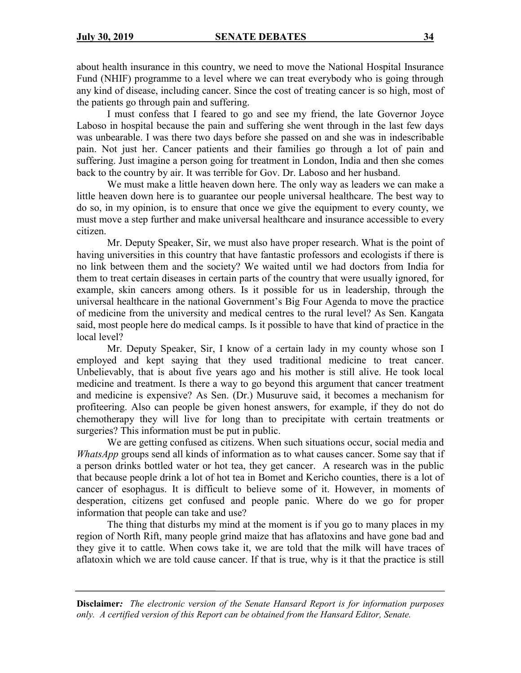about health insurance in this country, we need to move the National Hospital Insurance Fund (NHIF) programme to a level where we can treat everybody who is going through any kind of disease, including cancer. Since the cost of treating cancer is so high, most of the patients go through pain and suffering.

I must confess that I feared to go and see my friend, the late Governor Joyce Laboso in hospital because the pain and suffering she went through in the last few days was unbearable. I was there two days before she passed on and she was in indescribable pain. Not just her. Cancer patients and their families go through a lot of pain and suffering. Just imagine a person going for treatment in London, India and then she comes back to the country by air. It was terrible for Gov. Dr. Laboso and her husband.

We must make a little heaven down here. The only way as leaders we can make a little heaven down here is to guarantee our people universal healthcare. The best way to do so, in my opinion, is to ensure that once we give the equipment to every county, we must move a step further and make universal healthcare and insurance accessible to every citizen.

Mr. Deputy Speaker, Sir, we must also have proper research. What is the point of having universities in this country that have fantastic professors and ecologists if there is no link between them and the society? We waited until we had doctors from India for them to treat certain diseases in certain parts of the country that were usually ignored, for example, skin cancers among others. Is it possible for us in leadership, through the universal healthcare in the national Government's Big Four Agenda to move the practice of medicine from the university and medical centres to the rural level? As Sen. Kangata said, most people here do medical camps. Is it possible to have that kind of practice in the local level?

Mr. Deputy Speaker, Sir, I know of a certain lady in my county whose son I employed and kept saying that they used traditional medicine to treat cancer. Unbelievably, that is about five years ago and his mother is still alive. He took local medicine and treatment. Is there a way to go beyond this argument that cancer treatment and medicine is expensive? As Sen. (Dr.) Musuruve said, it becomes a mechanism for profiteering. Also can people be given honest answers, for example, if they do not do chemotherapy they will live for long than to precipitate with certain treatments or surgeries? This information must be put in public.

We are getting confused as citizens. When such situations occur, social media and *WhatsApp* groups send all kinds of information as to what causes cancer. Some say that if a person drinks bottled water or hot tea, they get cancer. A research was in the public that because people drink a lot of hot tea in Bomet and Kericho counties, there is a lot of cancer of esophagus. It is difficult to believe some of it. However, in moments of desperation, citizens get confused and people panic. Where do we go for proper information that people can take and use?

The thing that disturbs my mind at the moment is if you go to many places in my region of North Rift, many people grind maize that has aflatoxins and have gone bad and they give it to cattle. When cows take it, we are told that the milk will have traces of aflatoxin which we are told cause cancer. If that is true, why is it that the practice is still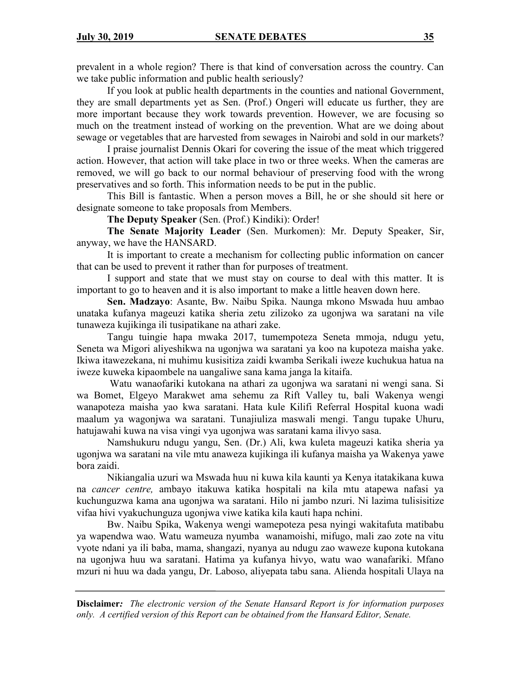prevalent in a whole region? There is that kind of conversation across the country. Can we take public information and public health seriously?

If you look at public health departments in the counties and national Government, they are small departments yet as Sen. (Prof.) Ongeri will educate us further, they are more important because they work towards prevention. However, we are focusing so much on the treatment instead of working on the prevention. What are we doing about sewage or vegetables that are harvested from sewages in Nairobi and sold in our markets?

I praise journalist Dennis Okari for covering the issue of the meat which triggered action. However, that action will take place in two or three weeks. When the cameras are removed, we will go back to our normal behaviour of preserving food with the wrong preservatives and so forth. This information needs to be put in the public.

This Bill is fantastic. When a person moves a Bill, he or she should sit here or designate someone to take proposals from Members.

**The Deputy Speaker** (Sen. (Prof.) Kindiki): Order!

**The Senate Majority Leader** (Sen. Murkomen): Mr. Deputy Speaker, Sir, anyway, we have the HANSARD.

It is important to create a mechanism for collecting public information on cancer that can be used to prevent it rather than for purposes of treatment.

I support and state that we must stay on course to deal with this matter. It is important to go to heaven and it is also important to make a little heaven down here.

**Sen. Madzayo**: Asante, Bw. Naibu Spika. Naunga mkono Mswada huu ambao unataka kufanya mageuzi katika sheria zetu zilizoko za ugonjwa wa saratani na vile tunaweza kujikinga ili tusipatikane na athari zake.

Tangu tuingie hapa mwaka 2017, tumempoteza Seneta mmoja, ndugu yetu, Seneta wa Migori aliyeshikwa na ugonjwa wa saratani ya koo na kupoteza maisha yake. Ikiwa itawezekana, ni muhimu kusisitiza zaidi kwamba Serikali iweze kuchukua hatua na iweze kuweka kipaombele na uangaliwe sana kama janga la kitaifa.

Watu wanaofariki kutokana na athari za ugonjwa wa saratani ni wengi sana. Si wa Bomet, Elgeyo Marakwet ama sehemu za Rift Valley tu, bali Wakenya wengi wanapoteza maisha yao kwa saratani. Hata kule Kilifi Referral Hospital kuona wadi maalum ya wagonjwa wa saratani. Tunajiuliza maswali mengi. Tangu tupake Uhuru, hatujawahi kuwa na visa vingi vya ugonjwa was saratani kama ilivyo sasa.

Namshukuru ndugu yangu, Sen. (Dr.) Ali, kwa kuleta mageuzi katika sheria ya ugonjwa wa saratani na vile mtu anaweza kujikinga ili kufanya maisha ya Wakenya yawe bora zaidi.

Nikiangalia uzuri wa Mswada huu ni kuwa kila kaunti ya Kenya itatakikana kuwa na *cancer centre,* ambayo itakuwa katika hospitali na kila mtu atapewa nafasi ya kuchunguzwa kama ana ugonjwa wa saratani. Hilo ni jambo nzuri. Ni lazima tulisisitize vifaa hivi vyakuchunguza ugonjwa viwe katika kila kauti hapa nchini.

Bw. Naibu Spika, Wakenya wengi wamepoteza pesa nyingi wakitafuta matibabu ya wapendwa wao. Watu wameuza nyumba wanamoishi, mifugo, mali zao zote na vitu vyote ndani ya ili baba, mama, shangazi, nyanya au ndugu zao waweze kupona kutokana na ugonjwa huu wa saratani. Hatima ya kufanya hivyo, watu wao wanafariki. Mfano mzuri ni huu wa dada yangu, Dr. Laboso, aliyepata tabu sana. Alienda hospitali Ulaya na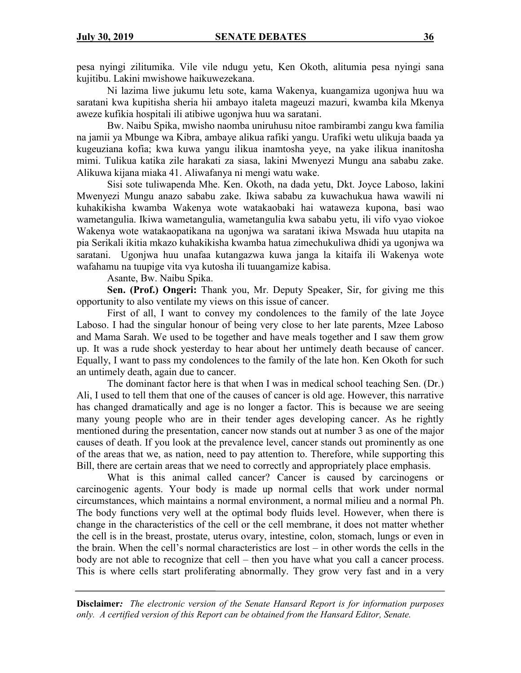pesa nyingi zilitumika. Vile vile ndugu yetu, Ken Okoth, alitumia pesa nyingi sana kujitibu. Lakini mwishowe haikuwezekana.

Ni lazima liwe jukumu letu sote, kama Wakenya, kuangamiza ugonjwa huu wa saratani kwa kupitisha sheria hii ambayo italeta mageuzi mazuri, kwamba kila Mkenya aweze kufikia hospitali ili atibiwe ugonjwa huu wa saratani.

Bw. Naibu Spika, mwisho naomba uniruhusu nitoe rambirambi zangu kwa familia na jamii ya Mbunge wa Kibra, ambaye alikua rafiki yangu. Urafiki wetu ulikuja baada ya kugeuziana kofia; kwa kuwa yangu ilikua inamtosha yeye, na yake ilikua inanitosha mimi. Tulikua katika zile harakati za siasa, lakini Mwenyezi Mungu ana sababu zake. Alikuwa kijana miaka 41. Aliwafanya ni mengi watu wake.

Sisi sote tuliwapenda Mhe. Ken. Okoth, na dada yetu, Dkt. Joyce Laboso, lakini Mwenyezi Mungu anazo sababu zake. Ikiwa sababu za kuwachukua hawa wawili ni kuhakikisha kwamba Wakenya wote watakaobaki hai wataweza kupona, basi wao wametangulia. Ikiwa wametangulia, wametangulia kwa sababu yetu, ili vifo vyao viokoe Wakenya wote watakaopatikana na ugonjwa wa saratani ikiwa Mswada huu utapita na pia Serikali ikitia mkazo kuhakikisha kwamba hatua zimechukuliwa dhidi ya ugonjwa wa saratani. Ugonjwa huu unafaa kutangazwa kuwa janga la kitaifa ili Wakenya wote wafahamu na tuupige vita vya kutosha ili tuuangamize kabisa.

## Asante, Bw. Naibu Spika.

**Sen. (Prof.) Ongeri:** Thank you, Mr. Deputy Speaker, Sir, for giving me this opportunity to also ventilate my views on this issue of cancer.

First of all, I want to convey my condolences to the family of the late Joyce Laboso. I had the singular honour of being very close to her late parents, Mzee Laboso and Mama Sarah. We used to be together and have meals together and I saw them grow up. It was a rude shock yesterday to hear about her untimely death because of cancer. Equally, I want to pass my condolences to the family of the late hon. Ken Okoth for such an untimely death, again due to cancer.

The dominant factor here is that when I was in medical school teaching Sen. (Dr.) Ali, I used to tell them that one of the causes of cancer is old age. However, this narrative has changed dramatically and age is no longer a factor. This is because we are seeing many young people who are in their tender ages developing cancer. As he rightly mentioned during the presentation, cancer now stands out at number 3 as one of the major causes of death. If you look at the prevalence level, cancer stands out prominently as one of the areas that we, as nation, need to pay attention to. Therefore, while supporting this Bill, there are certain areas that we need to correctly and appropriately place emphasis.

What is this animal called cancer? Cancer is caused by carcinogens or carcinogenic agents. Your body is made up normal cells that work under normal circumstances, which maintains a normal environment, a normal milieu and a normal Ph. The body functions very well at the optimal body fluids level. However, when there is change in the characteristics of the cell or the cell membrane, it does not matter whether the cell is in the breast, prostate, uterus ovary, intestine, colon, stomach, lungs or even in the brain. When the cell's normal characteristics are lost – in other words the cells in the body are not able to recognize that cell – then you have what you call a cancer process. This is where cells start proliferating abnormally. They grow very fast and in a very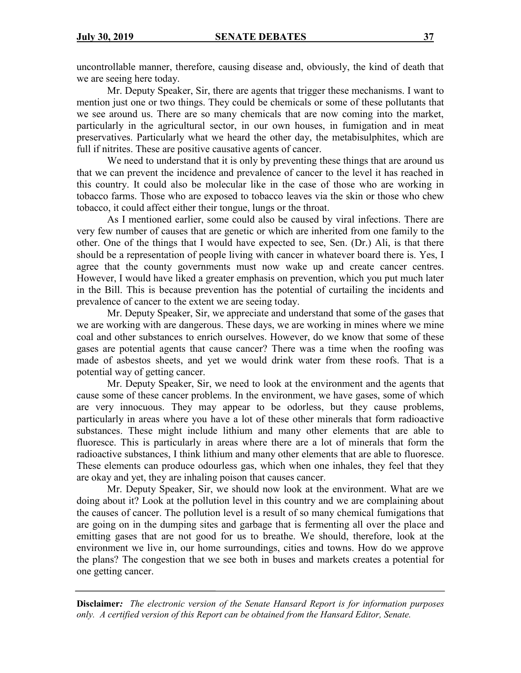uncontrollable manner, therefore, causing disease and, obviously, the kind of death that we are seeing here today.

Mr. Deputy Speaker, Sir, there are agents that trigger these mechanisms. I want to mention just one or two things. They could be chemicals or some of these pollutants that we see around us. There are so many chemicals that are now coming into the market, particularly in the agricultural sector, in our own houses, in fumigation and in meat preservatives. Particularly what we heard the other day, the metabisulphites, which are full if nitrites. These are positive causative agents of cancer.

We need to understand that it is only by preventing these things that are around us that we can prevent the incidence and prevalence of cancer to the level it has reached in this country. It could also be molecular like in the case of those who are working in tobacco farms. Those who are exposed to tobacco leaves via the skin or those who chew tobacco, it could affect either their tongue, lungs or the throat.

As I mentioned earlier, some could also be caused by viral infections. There are very few number of causes that are genetic or which are inherited from one family to the other. One of the things that I would have expected to see, Sen. (Dr.) Ali, is that there should be a representation of people living with cancer in whatever board there is. Yes, I agree that the county governments must now wake up and create cancer centres. However, I would have liked a greater emphasis on prevention, which you put much later in the Bill. This is because prevention has the potential of curtailing the incidents and prevalence of cancer to the extent we are seeing today.

Mr. Deputy Speaker, Sir, we appreciate and understand that some of the gases that we are working with are dangerous. These days, we are working in mines where we mine coal and other substances to enrich ourselves. However, do we know that some of these gases are potential agents that cause cancer? There was a time when the roofing was made of asbestos sheets, and yet we would drink water from these roofs. That is a potential way of getting cancer.

Mr. Deputy Speaker, Sir, we need to look at the environment and the agents that cause some of these cancer problems. In the environment, we have gases, some of which are very innocuous. They may appear to be odorless, but they cause problems, particularly in areas where you have a lot of these other minerals that form radioactive substances. These might include lithium and many other elements that are able to fluoresce. This is particularly in areas where there are a lot of minerals that form the radioactive substances, I think lithium and many other elements that are able to fluoresce. These elements can produce odourless gas, which when one inhales, they feel that they are okay and yet, they are inhaling poison that causes cancer.

Mr. Deputy Speaker, Sir, we should now look at the environment. What are we doing about it? Look at the pollution level in this country and we are complaining about the causes of cancer. The pollution level is a result of so many chemical fumigations that are going on in the dumping sites and garbage that is fermenting all over the place and emitting gases that are not good for us to breathe. We should, therefore, look at the environment we live in, our home surroundings, cities and towns. How do we approve the plans? The congestion that we see both in buses and markets creates a potential for one getting cancer.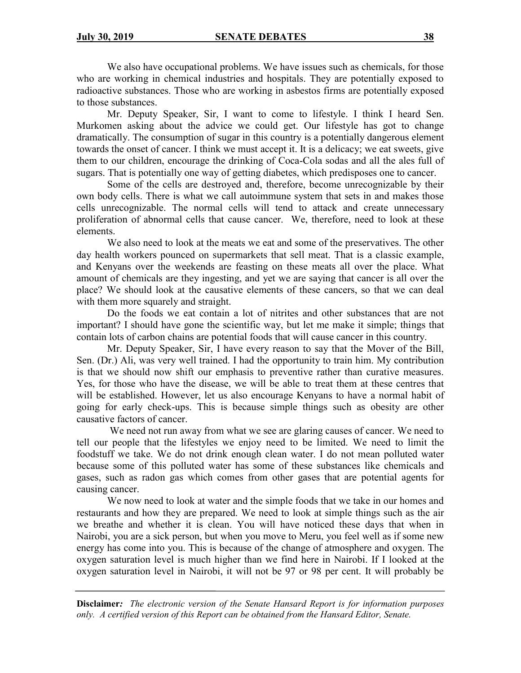We also have occupational problems. We have issues such as chemicals, for those who are working in chemical industries and hospitals. They are potentially exposed to radioactive substances. Those who are working in asbestos firms are potentially exposed to those substances.

Mr. Deputy Speaker, Sir, I want to come to lifestyle. I think I heard Sen. Murkomen asking about the advice we could get. Our lifestyle has got to change dramatically. The consumption of sugar in this country is a potentially dangerous element towards the onset of cancer. I think we must accept it. It is a delicacy; we eat sweets, give them to our children, encourage the drinking of Coca-Cola sodas and all the ales full of sugars. That is potentially one way of getting diabetes, which predisposes one to cancer.

Some of the cells are destroyed and, therefore, become unrecognizable by their own body cells. There is what we call autoimmune system that sets in and makes those cells unrecognizable. The normal cells will tend to attack and create unnecessary proliferation of abnormal cells that cause cancer. We, therefore, need to look at these elements.

We also need to look at the meats we eat and some of the preservatives. The other day health workers pounced on supermarkets that sell meat. That is a classic example, and Kenyans over the weekends are feasting on these meats all over the place. What amount of chemicals are they ingesting, and yet we are saying that cancer is all over the place? We should look at the causative elements of these cancers, so that we can deal with them more squarely and straight.

Do the foods we eat contain a lot of nitrites and other substances that are not important? I should have gone the scientific way, but let me make it simple; things that contain lots of carbon chains are potential foods that will cause cancer in this country.

Mr. Deputy Speaker, Sir, I have every reason to say that the Mover of the Bill, Sen. (Dr.) Ali, was very well trained. I had the opportunity to train him. My contribution is that we should now shift our emphasis to preventive rather than curative measures. Yes, for those who have the disease, we will be able to treat them at these centres that will be established. However, let us also encourage Kenyans to have a normal habit of going for early check-ups. This is because simple things such as obesity are other causative factors of cancer.

We need not run away from what we see are glaring causes of cancer. We need to tell our people that the lifestyles we enjoy need to be limited. We need to limit the foodstuff we take. We do not drink enough clean water. I do not mean polluted water because some of this polluted water has some of these substances like chemicals and gases, such as radon gas which comes from other gases that are potential agents for causing cancer.

We now need to look at water and the simple foods that we take in our homes and restaurants and how they are prepared. We need to look at simple things such as the air we breathe and whether it is clean. You will have noticed these days that when in Nairobi, you are a sick person, but when you move to Meru, you feel well as if some new energy has come into you. This is because of the change of atmosphere and oxygen. The oxygen saturation level is much higher than we find here in Nairobi. If I looked at the oxygen saturation level in Nairobi, it will not be 97 or 98 per cent. It will probably be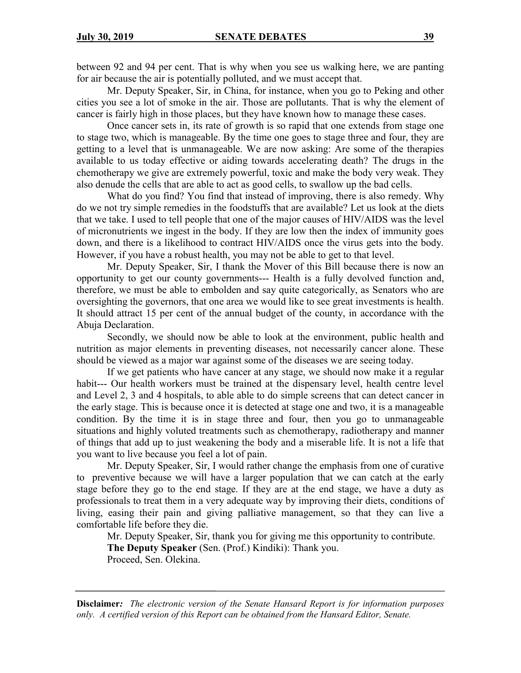between 92 and 94 per cent. That is why when you see us walking here, we are panting for air because the air is potentially polluted, and we must accept that.

Mr. Deputy Speaker, Sir, in China, for instance, when you go to Peking and other cities you see a lot of smoke in the air. Those are pollutants. That is why the element of cancer is fairly high in those places, but they have known how to manage these cases.

Once cancer sets in, its rate of growth is so rapid that one extends from stage one to stage two, which is manageable. By the time one goes to stage three and four, they are getting to a level that is unmanageable. We are now asking: Are some of the therapies available to us today effective or aiding towards accelerating death? The drugs in the chemotherapy we give are extremely powerful, toxic and make the body very weak. They also denude the cells that are able to act as good cells, to swallow up the bad cells.

What do you find? You find that instead of improving, there is also remedy. Why do we not try simple remedies in the foodstuffs that are available? Let us look at the diets that we take. I used to tell people that one of the major causes of HIV/AIDS was the level of micronutrients we ingest in the body. If they are low then the index of immunity goes down, and there is a likelihood to contract HIV/AIDS once the virus gets into the body. However, if you have a robust health, you may not be able to get to that level.

Mr. Deputy Speaker, Sir, I thank the Mover of this Bill because there is now an opportunity to get our county governments--- Health is a fully devolved function and, therefore, we must be able to embolden and say quite categorically, as Senators who are oversighting the governors, that one area we would like to see great investments is health. It should attract 15 per cent of the annual budget of the county, in accordance with the Abuja Declaration.

Secondly, we should now be able to look at the environment, public health and nutrition as major elements in preventing diseases, not necessarily cancer alone. These should be viewed as a major war against some of the diseases we are seeing today.

If we get patients who have cancer at any stage, we should now make it a regular habit--- Our health workers must be trained at the dispensary level, health centre level and Level 2, 3 and 4 hospitals, to able able to do simple screens that can detect cancer in the early stage. This is because once it is detected at stage one and two, it is a manageable condition. By the time it is in stage three and four, then you go to unmanageable situations and highly voluted treatments such as chemotherapy, radiotherapy and manner of things that add up to just weakening the body and a miserable life. It is not a life that you want to live because you feel a lot of pain.

Mr. Deputy Speaker, Sir, I would rather change the emphasis from one of curative to preventive because we will have a larger population that we can catch at the early stage before they go to the end stage. If they are at the end stage, we have a duty as professionals to treat them in a very adequate way by improving their diets, conditions of living, easing their pain and giving palliative management, so that they can live a comfortable life before they die.

Mr. Deputy Speaker, Sir, thank you for giving me this opportunity to contribute. **The Deputy Speaker** (Sen. (Prof.) Kindiki): Thank you. Proceed, Sen. Olekina.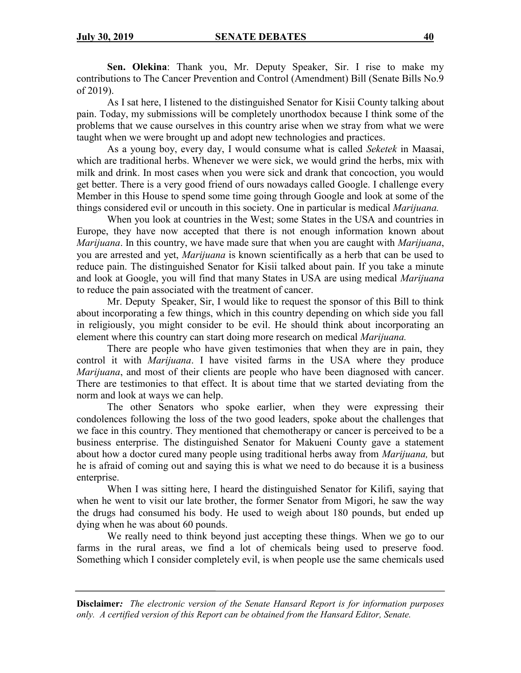**Sen. Olekina**: Thank you, Mr. Deputy Speaker, Sir. I rise to make my contributions to The Cancer Prevention and Control (Amendment) Bill (Senate Bills No.9 of 2019).

As I sat here, I listened to the distinguished Senator for Kisii County talking about pain. Today, my submissions will be completely unorthodox because I think some of the problems that we cause ourselves in this country arise when we stray from what we were taught when we were brought up and adopt new technologies and practices.

As a young boy, every day, I would consume what is called *Seketek* in Maasai, which are traditional herbs. Whenever we were sick, we would grind the herbs, mix with milk and drink. In most cases when you were sick and drank that concoction, you would get better. There is a very good friend of ours nowadays called Google. I challenge every Member in this House to spend some time going through Google and look at some of the things considered evil or uncouth in this society. One in particular is medical *Marijuana.*

When you look at countries in the West; some States in the USA and countries in Europe, they have now accepted that there is not enough information known about *Marijuana*. In this country, we have made sure that when you are caught with *Marijuana*, you are arrested and yet, *Marijuana* is known scientifically as a herb that can be used to reduce pain. The distinguished Senator for Kisii talked about pain. If you take a minute and look at Google, you will find that many States in USA are using medical *Marijuana* to reduce the pain associated with the treatment of cancer.

Mr. Deputy Speaker, Sir, I would like to request the sponsor of this Bill to think about incorporating a few things, which in this country depending on which side you fall in religiously, you might consider to be evil. He should think about incorporating an element where this country can start doing more research on medical *Marijuana.*

There are people who have given testimonies that when they are in pain, they control it with *Marijuana*. I have visited farms in the USA where they produce *Marijuana*, and most of their clients are people who have been diagnosed with cancer. There are testimonies to that effect. It is about time that we started deviating from the norm and look at ways we can help.

The other Senators who spoke earlier, when they were expressing their condolences following the loss of the two good leaders, spoke about the challenges that we face in this country. They mentioned that chemotherapy or cancer is perceived to be a business enterprise. The distinguished Senator for Makueni County gave a statement about how a doctor cured many people using traditional herbs away from *Marijuana,* but he is afraid of coming out and saying this is what we need to do because it is a business enterprise.

When I was sitting here, I heard the distinguished Senator for Kilifi, saying that when he went to visit our late brother, the former Senator from Migori, he saw the way the drugs had consumed his body. He used to weigh about 180 pounds, but ended up dying when he was about 60 pounds.

We really need to think beyond just accepting these things. When we go to our farms in the rural areas, we find a lot of chemicals being used to preserve food. Something which I consider completely evil, is when people use the same chemicals used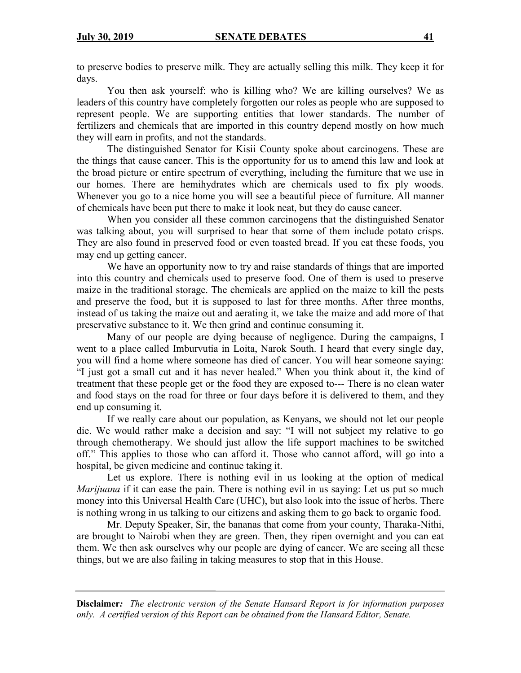to preserve bodies to preserve milk. They are actually selling this milk. They keep it for days.

You then ask yourself: who is killing who? We are killing ourselves? We as leaders of this country have completely forgotten our roles as people who are supposed to represent people. We are supporting entities that lower standards. The number of fertilizers and chemicals that are imported in this country depend mostly on how much they will earn in profits, and not the standards.

The distinguished Senator for Kisii County spoke about carcinogens. These are the things that cause cancer. This is the opportunity for us to amend this law and look at the broad picture or entire spectrum of everything, including the furniture that we use in our homes. There are hemihydrates which are chemicals used to fix ply woods. Whenever you go to a nice home you will see a beautiful piece of furniture. All manner of chemicals have been put there to make it look neat, but they do cause cancer.

When you consider all these common carcinogens that the distinguished Senator was talking about, you will surprised to hear that some of them include potato crisps. They are also found in preserved food or even toasted bread. If you eat these foods, you may end up getting cancer.

We have an opportunity now to try and raise standards of things that are imported into this country and chemicals used to preserve food. One of them is used to preserve maize in the traditional storage. The chemicals are applied on the maize to kill the pests and preserve the food, but it is supposed to last for three months. After three months, instead of us taking the maize out and aerating it, we take the maize and add more of that preservative substance to it. We then grind and continue consuming it.

Many of our people are dying because of negligence. During the campaigns, I went to a place called Imburvutia in Loita, Narok South. I heard that every single day, you will find a home where someone has died of cancer. You will hear someone saying: "I just got a small cut and it has never healed." When you think about it, the kind of treatment that these people get or the food they are exposed to--- There is no clean water and food stays on the road for three or four days before it is delivered to them, and they end up consuming it.

If we really care about our population, as Kenyans, we should not let our people die. We would rather make a decision and say: "I will not subject my relative to go through chemotherapy. We should just allow the life support machines to be switched off." This applies to those who can afford it. Those who cannot afford, will go into a hospital, be given medicine and continue taking it.

Let us explore. There is nothing evil in us looking at the option of medical *Marijuana* if it can ease the pain. There is nothing evil in us saying: Let us put so much money into this Universal Health Care (UHC), but also look into the issue of herbs. There is nothing wrong in us talking to our citizens and asking them to go back to organic food.

Mr. Deputy Speaker, Sir, the bananas that come from your county, Tharaka-Nithi, are brought to Nairobi when they are green. Then, they ripen overnight and you can eat them. We then ask ourselves why our people are dying of cancer. We are seeing all these things, but we are also failing in taking measures to stop that in this House.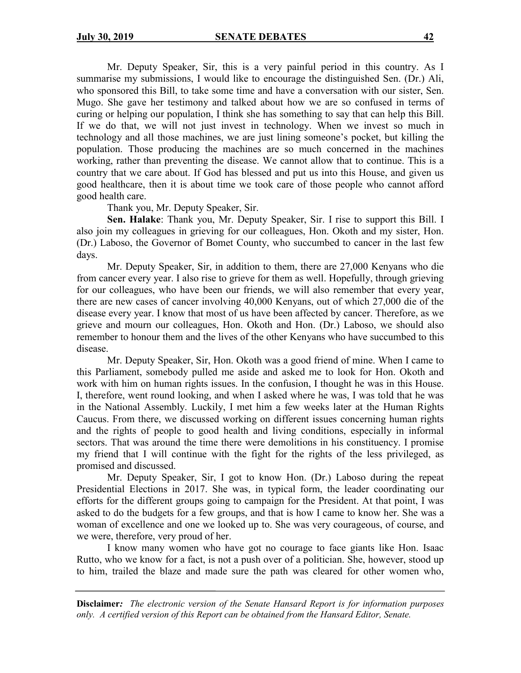Mr. Deputy Speaker, Sir, this is a very painful period in this country. As I summarise my submissions, I would like to encourage the distinguished Sen. (Dr.) Ali, who sponsored this Bill, to take some time and have a conversation with our sister, Sen. Mugo. She gave her testimony and talked about how we are so confused in terms of curing or helping our population, I think she has something to say that can help this Bill. If we do that, we will not just invest in technology. When we invest so much in technology and all those machines, we are just lining someone's pocket, but killing the population. Those producing the machines are so much concerned in the machines working, rather than preventing the disease. We cannot allow that to continue. This is a country that we care about. If God has blessed and put us into this House, and given us good healthcare, then it is about time we took care of those people who cannot afford good health care.

Thank you, Mr. Deputy Speaker, Sir.

**Sen. Halake**: Thank you, Mr. Deputy Speaker, Sir. I rise to support this Bill. I also join my colleagues in grieving for our colleagues, Hon. Okoth and my sister, Hon. (Dr.) Laboso, the Governor of Bomet County, who succumbed to cancer in the last few days.

Mr. Deputy Speaker, Sir, in addition to them, there are 27,000 Kenyans who die from cancer every year. I also rise to grieve for them as well. Hopefully, through grieving for our colleagues, who have been our friends, we will also remember that every year, there are new cases of cancer involving 40,000 Kenyans, out of which 27,000 die of the disease every year. I know that most of us have been affected by cancer. Therefore, as we grieve and mourn our colleagues, Hon. Okoth and Hon. (Dr.) Laboso, we should also remember to honour them and the lives of the other Kenyans who have succumbed to this disease.

Mr. Deputy Speaker, Sir, Hon. Okoth was a good friend of mine. When I came to this Parliament, somebody pulled me aside and asked me to look for Hon. Okoth and work with him on human rights issues. In the confusion, I thought he was in this House. I, therefore, went round looking, and when I asked where he was, I was told that he was in the National Assembly. Luckily, I met him a few weeks later at the Human Rights Caucus. From there, we discussed working on different issues concerning human rights and the rights of people to good health and living conditions, especially in informal sectors. That was around the time there were demolitions in his constituency. I promise my friend that I will continue with the fight for the rights of the less privileged, as promised and discussed.

Mr. Deputy Speaker, Sir, I got to know Hon. (Dr.) Laboso during the repeat Presidential Elections in 2017. She was, in typical form, the leader coordinating our efforts for the different groups going to campaign for the President. At that point, I was asked to do the budgets for a few groups, and that is how I came to know her. She was a woman of excellence and one we looked up to. She was very courageous, of course, and we were, therefore, very proud of her.

I know many women who have got no courage to face giants like Hon. Isaac Rutto, who we know for a fact, is not a push over of a politician. She, however, stood up to him, trailed the blaze and made sure the path was cleared for other women who,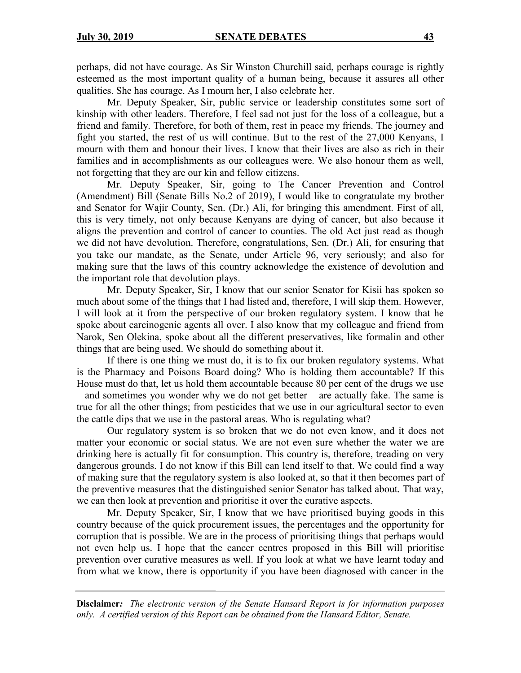perhaps, did not have courage. As Sir Winston Churchill said, perhaps courage is rightly esteemed as the most important quality of a human being, because it assures all other qualities. She has courage. As I mourn her, I also celebrate her.

Mr. Deputy Speaker, Sir, public service or leadership constitutes some sort of kinship with other leaders. Therefore, I feel sad not just for the loss of a colleague, but a friend and family. Therefore, for both of them, rest in peace my friends. The journey and fight you started, the rest of us will continue. But to the rest of the 27,000 Kenyans, I mourn with them and honour their lives. I know that their lives are also as rich in their families and in accomplishments as our colleagues were. We also honour them as well, not forgetting that they are our kin and fellow citizens.

Mr. Deputy Speaker, Sir, going to The Cancer Prevention and Control (Amendment) Bill (Senate Bills No.2 of 2019), I would like to congratulate my brother and Senator for Wajir County, Sen. (Dr.) Ali, for bringing this amendment. First of all, this is very timely, not only because Kenyans are dying of cancer, but also because it aligns the prevention and control of cancer to counties. The old Act just read as though we did not have devolution. Therefore, congratulations, Sen. (Dr.) Ali, for ensuring that you take our mandate, as the Senate, under Article 96, very seriously; and also for making sure that the laws of this country acknowledge the existence of devolution and the important role that devolution plays.

Mr. Deputy Speaker, Sir, I know that our senior Senator for Kisii has spoken so much about some of the things that I had listed and, therefore, I will skip them. However, I will look at it from the perspective of our broken regulatory system. I know that he spoke about carcinogenic agents all over. I also know that my colleague and friend from Narok, Sen Olekina, spoke about all the different preservatives, like formalin and other things that are being used. We should do something about it.

If there is one thing we must do, it is to fix our broken regulatory systems. What is the Pharmacy and Poisons Board doing? Who is holding them accountable? If this House must do that, let us hold them accountable because 80 per cent of the drugs we use – and sometimes you wonder why we do not get better – are actually fake. The same is true for all the other things; from pesticides that we use in our agricultural sector to even the cattle dips that we use in the pastoral areas. Who is regulating what?

Our regulatory system is so broken that we do not even know, and it does not matter your economic or social status. We are not even sure whether the water we are drinking here is actually fit for consumption. This country is, therefore, treading on very dangerous grounds. I do not know if this Bill can lend itself to that. We could find a way of making sure that the regulatory system is also looked at, so that it then becomes part of the preventive measures that the distinguished senior Senator has talked about. That way, we can then look at prevention and prioritise it over the curative aspects.

Mr. Deputy Speaker, Sir, I know that we have prioritised buying goods in this country because of the quick procurement issues, the percentages and the opportunity for corruption that is possible. We are in the process of prioritising things that perhaps would not even help us. I hope that the cancer centres proposed in this Bill will prioritise prevention over curative measures as well. If you look at what we have learnt today and from what we know, there is opportunity if you have been diagnosed with cancer in the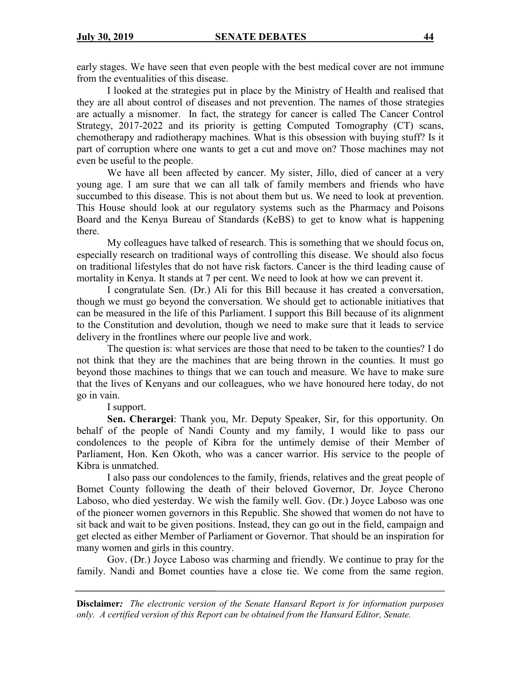early stages. We have seen that even people with the best medical cover are not immune from the eventualities of this disease.

I looked at the strategies put in place by the Ministry of Health and realised that they are all about control of diseases and not prevention. The names of those strategies are actually a misnomer. In fact, the strategy for cancer is called The Cancer Control Strategy, 2017-2022 and its priority is getting Computed Tomography (CT) scans, chemotherapy and radiotherapy machines. What is this obsession with buying stuff? Is it part of corruption where one wants to get a cut and move on? Those machines may not even be useful to the people.

We have all been affected by cancer. My sister, Jillo, died of cancer at a very young age. I am sure that we can all talk of family members and friends who have succumbed to this disease. This is not about them but us. We need to look at prevention. This House should look at our regulatory systems such as the Pharmacy and Poisons Board and the Kenya Bureau of Standards (KeBS) to get to know what is happening there.

My colleagues have talked of research. This is something that we should focus on, especially research on traditional ways of controlling this disease. We should also focus on traditional lifestyles that do not have risk factors. Cancer is the third leading cause of mortality in Kenya. It stands at 7 per cent. We need to look at how we can prevent it.

I congratulate Sen. (Dr.) Ali for this Bill because it has created a conversation, though we must go beyond the conversation. We should get to actionable initiatives that can be measured in the life of this Parliament. I support this Bill because of its alignment to the Constitution and devolution, though we need to make sure that it leads to service delivery in the frontlines where our people live and work.

The question is: what services are those that need to be taken to the counties? I do not think that they are the machines that are being thrown in the counties. It must go beyond those machines to things that we can touch and measure. We have to make sure that the lives of Kenyans and our colleagues, who we have honoured here today, do not go in vain.

I support.

**Sen. Cherargei**: Thank you, Mr. Deputy Speaker, Sir, for this opportunity. On behalf of the people of Nandi County and my family, I would like to pass our condolences to the people of Kibra for the untimely demise of their Member of Parliament, Hon. Ken Okoth, who was a cancer warrior. His service to the people of Kibra is unmatched.

I also pass our condolences to the family, friends, relatives and the great people of Bomet County following the death of their beloved Governor, Dr. Joyce Cherono Laboso, who died yesterday. We wish the family well. Gov. (Dr.) Joyce Laboso was one of the pioneer women governors in this Republic. She showed that women do not have to sit back and wait to be given positions. Instead, they can go out in the field, campaign and get elected as either Member of Parliament or Governor. That should be an inspiration for many women and girls in this country.

Gov. (Dr.) Joyce Laboso was charming and friendly. We continue to pray for the family. Nandi and Bomet counties have a close tie. We come from the same region.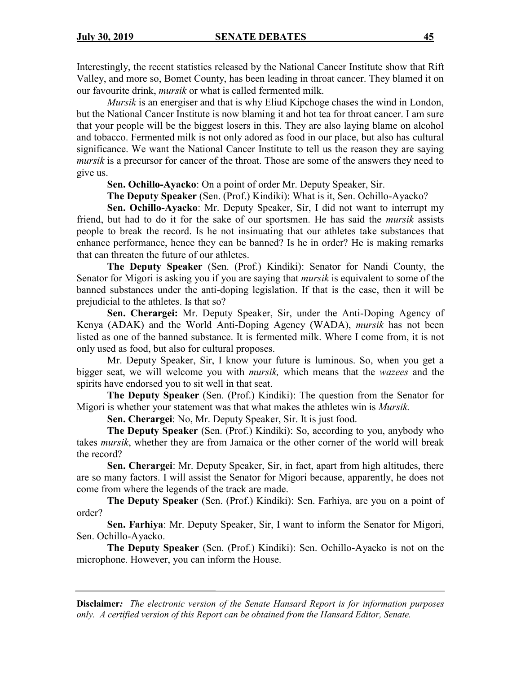Interestingly, the recent statistics released by the National Cancer Institute show that Rift Valley, and more so, Bomet County, has been leading in throat cancer. They blamed it on our favourite drink, *mursik* or what is called fermented milk.

*Mursik* is an energiser and that is why Eliud Kipchoge chases the wind in London, but the National Cancer Institute is now blaming it and hot tea for throat cancer. I am sure that your people will be the biggest losers in this. They are also laying blame on alcohol and tobacco. Fermented milk is not only adored as food in our place, but also has cultural significance. We want the National Cancer Institute to tell us the reason they are saying *mursik* is a precursor for cancer of the throat. Those are some of the answers they need to give us.

**Sen. Ochillo-Ayacko**: On a point of order Mr. Deputy Speaker, Sir.

**The Deputy Speaker** (Sen. (Prof.) Kindiki): What is it, Sen. Ochillo-Ayacko?

**Sen. Ochillo-Ayacko**: Mr. Deputy Speaker, Sir, I did not want to interrupt my friend, but had to do it for the sake of our sportsmen. He has said the *mursik* assists people to break the record. Is he not insinuating that our athletes take substances that enhance performance, hence they can be banned? Is he in order? He is making remarks that can threaten the future of our athletes.

**The Deputy Speaker** (Sen. (Prof.) Kindiki): Senator for Nandi County, the Senator for Migori is asking you if you are saying that *mursik* is equivalent to some of the banned substances under the anti-doping legislation. If that is the case, then it will be prejudicial to the athletes. Is that so?

**Sen. Cherargei:** Mr. Deputy Speaker, Sir, under the Anti-Doping Agency of Kenya (ADAK) and the World Anti-Doping Agency (WADA), *mursik* has not been listed as one of the banned substance. It is fermented milk. Where I come from, it is not only used as food, but also for cultural proposes.

Mr. Deputy Speaker, Sir, I know your future is luminous. So, when you get a bigger seat, we will welcome you with *mursik,* which means that the *wazees* and the spirits have endorsed you to sit well in that seat.

**The Deputy Speaker** (Sen. (Prof.) Kindiki): The question from the Senator for Migori is whether your statement was that what makes the athletes win is *Mursik.*

**Sen. Cherargei**: No, Mr. Deputy Speaker, Sir. It is just food.

**The Deputy Speaker** (Sen. (Prof.) Kindiki): So, according to you, anybody who takes *mursik*, whether they are from Jamaica or the other corner of the world will break the record?

**Sen. Cherargei**: Mr. Deputy Speaker, Sir, in fact, apart from high altitudes, there are so many factors. I will assist the Senator for Migori because, apparently, he does not come from where the legends of the track are made.

**The Deputy Speaker** (Sen. (Prof.) Kindiki): Sen. Farhiya, are you on a point of order?

**Sen. Farhiya**: Mr. Deputy Speaker, Sir, I want to inform the Senator for Migori, Sen. Ochillo-Ayacko.

**The Deputy Speaker** (Sen. (Prof.) Kindiki): Sen. Ochillo-Ayacko is not on the microphone. However, you can inform the House.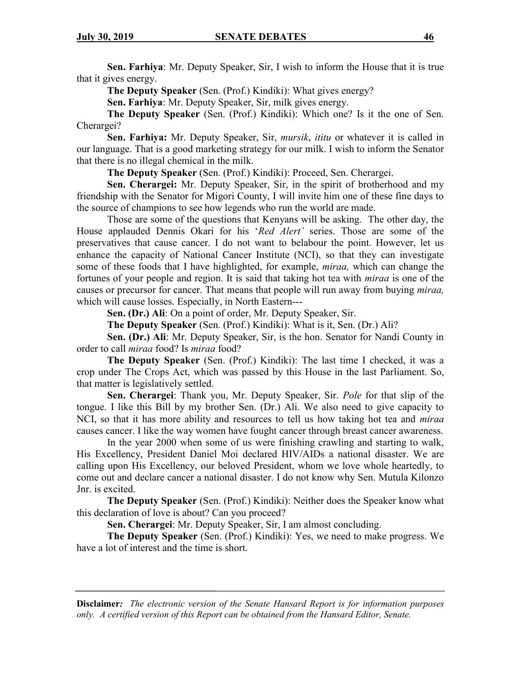**Sen. Farhiya**: Mr. Deputy Speaker, Sir, I wish to inform the House that it is true that it gives energy.

**The Deputy Speaker** (Sen. (Prof.) Kindiki): What gives energy?

**Sen. Farhiya**: Mr. Deputy Speaker, Sir, milk gives energy.

**The Deputy Speaker** (Sen. (Prof.) Kindiki): Which one? Is it the one of Sen. Cherargei?

**Sen. Farhiya:** Mr. Deputy Speaker, Sir, *mursik*, *ititu* or whatever it is called in our language. That is a good marketing strategy for our milk. I wish to inform the Senator that there is no illegal chemical in the milk.

**The Deputy Speaker** (Sen. (Prof.) Kindiki): Proceed, Sen. Cherargei.

**Sen. Cherargei:** Mr. Deputy Speaker, Sir, in the spirit of brotherhood and my friendship with the Senator for Migori County, I will invite him one of these fine days to the source of champions to see how legends who run the world are made.

Those are some of the questions that Kenyans will be asking. The other day, the House applauded Dennis Okari for his '*Red Alert'* series. Those are some of the preservatives that cause cancer. I do not want to belabour the point. However, let us enhance the capacity of National Cancer Institute (NCI), so that they can investigate some of these foods that I have highlighted, for example, *miraa,* which can change the fortunes of your people and region. It is said that taking hot tea with *miraa* is one of the causes or precursor for cancer. That means that people will run away from buying *miraa,* which will cause losses. Especially, in North Eastern---

**Sen. (Dr.) Ali**: On a point of order, Mr. Deputy Speaker, Sir.

**The Deputy Speaker** (Sen. (Prof.) Kindiki): What is it, Sen. (Dr.) Ali?

**Sen. (Dr.) Ali**: Mr. Deputy Speaker, Sir, is the hon. Senator for Nandi County in order to call *miraa* food? Is *miraa* food?

**The Deputy Speaker** (Sen. (Prof.) Kindiki): The last time I checked, it was a crop under The Crops Act, which was passed by this House in the last Parliament. So, that matter is legislatively settled.

**Sen. Cherargei**: Thank you, Mr. Deputy Speaker, Sir. *Pole* for that slip of the tongue. I like this Bill by my brother Sen. (Dr.) Ali. We also need to give capacity to NCI, so that it has more ability and resources to tell us how taking hot tea and *miraa* causes cancer. I like the way women have fought cancer through breast cancer awareness.

In the year 2000 when some of us were finishing crawling and starting to walk, His Excellency, President Daniel Moi declared HIV/AIDs a national disaster. We are calling upon His Excellency, our beloved President, whom we love whole heartedly, to come out and declare cancer a national disaster. I do not know why Sen. Mutula Kilonzo Jnr. is excited.

**The Deputy Speaker** (Sen. (Prof.) Kindiki): Neither does the Speaker know what this declaration of love is about? Can you proceed?

**Sen. Cherargei**: Mr. Deputy Speaker, Sir, I am almost concluding.

**The Deputy Speaker** (Sen. (Prof.) Kindiki): Yes, we need to make progress. We have a lot of interest and the time is short.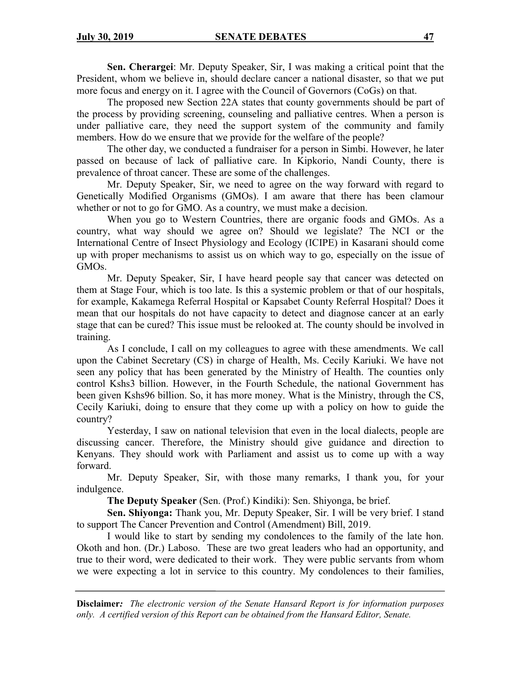**Sen. Cherargei**: Mr. Deputy Speaker, Sir, I was making a critical point that the President, whom we believe in, should declare cancer a national disaster, so that we put more focus and energy on it. I agree with the Council of Governors (CoGs) on that.

The proposed new Section 22A states that county governments should be part of the process by providing screening, counseling and palliative centres. When a person is under palliative care, they need the support system of the community and family members. How do we ensure that we provide for the welfare of the people?

The other day, we conducted a fundraiser for a person in Simbi. However, he later passed on because of lack of palliative care. In Kipkorio, Nandi County, there is prevalence of throat cancer. These are some of the challenges.

Mr. Deputy Speaker, Sir, we need to agree on the way forward with regard to Genetically Modified Organisms (GMOs). I am aware that there has been clamour whether or not to go for GMO. As a country, we must make a decision.

When you go to Western Countries, there are organic foods and GMOs. As a country, what way should we agree on? Should we legislate? The NCI or the International Centre of Insect Physiology and Ecology (ICIPE) in Kasarani should come up with proper mechanisms to assist us on which way to go, especially on the issue of GMOs.

Mr. Deputy Speaker, Sir, I have heard people say that cancer was detected on them at Stage Four, which is too late. Is this a systemic problem or that of our hospitals, for example, Kakamega Referral Hospital or Kapsabet County Referral Hospital? Does it mean that our hospitals do not have capacity to detect and diagnose cancer at an early stage that can be cured? This issue must be relooked at. The county should be involved in training.

As I conclude, I call on my colleagues to agree with these amendments. We call upon the Cabinet Secretary (CS) in charge of Health, Ms. Cecily Kariuki. We have not seen any policy that has been generated by the Ministry of Health. The counties only control Kshs3 billion. However, in the Fourth Schedule, the national Government has been given Kshs96 billion. So, it has more money. What is the Ministry, through the CS, Cecily Kariuki, doing to ensure that they come up with a policy on how to guide the country?

Yesterday, I saw on national television that even in the local dialects, people are discussing cancer. Therefore, the Ministry should give guidance and direction to Kenyans. They should work with Parliament and assist us to come up with a way forward.

Mr. Deputy Speaker, Sir, with those many remarks, I thank you, for your indulgence.

**The Deputy Speaker** (Sen. (Prof.) Kindiki): Sen. Shiyonga, be brief.

**Sen. Shiyonga:** Thank you, Mr. Deputy Speaker, Sir. I will be very brief. I stand to support The Cancer Prevention and Control (Amendment) Bill, 2019.

I would like to start by sending my condolences to the family of the late hon. Okoth and hon. (Dr.) Laboso. These are two great leaders who had an opportunity, and true to their word, were dedicated to their work. They were public servants from whom we were expecting a lot in service to this country. My condolences to their families,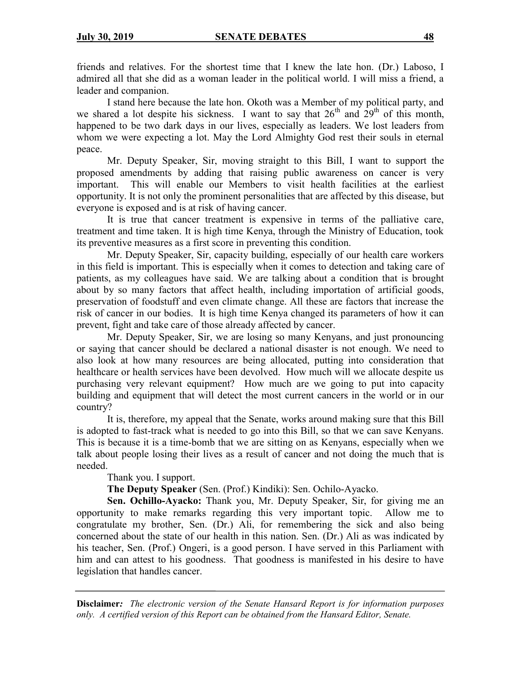friends and relatives. For the shortest time that I knew the late hon. (Dr.) Laboso, I admired all that she did as a woman leader in the political world. I will miss a friend, a leader and companion.

I stand here because the late hon. Okoth was a Member of my political party, and we shared a lot despite his sickness. I want to say that  $26^{th}$  and  $29^{th}$  of this month, happened to be two dark days in our lives, especially as leaders. We lost leaders from whom we were expecting a lot. May the Lord Almighty God rest their souls in eternal peace.

Mr. Deputy Speaker, Sir, moving straight to this Bill, I want to support the proposed amendments by adding that raising public awareness on cancer is very important. This will enable our Members to visit health facilities at the earliest opportunity. It is not only the prominent personalities that are affected by this disease, but everyone is exposed and is at risk of having cancer.

It is true that cancer treatment is expensive in terms of the palliative care, treatment and time taken. It is high time Kenya, through the Ministry of Education, took its preventive measures as a first score in preventing this condition.

Mr. Deputy Speaker, Sir, capacity building, especially of our health care workers in this field is important. This is especially when it comes to detection and taking care of patients, as my colleagues have said. We are talking about a condition that is brought about by so many factors that affect health, including importation of artificial goods, preservation of foodstuff and even climate change. All these are factors that increase the risk of cancer in our bodies. It is high time Kenya changed its parameters of how it can prevent, fight and take care of those already affected by cancer.

Mr. Deputy Speaker, Sir, we are losing so many Kenyans, and just pronouncing or saying that cancer should be declared a national disaster is not enough. We need to also look at how many resources are being allocated, putting into consideration that healthcare or health services have been devolved. How much will we allocate despite us purchasing very relevant equipment? How much are we going to put into capacity building and equipment that will detect the most current cancers in the world or in our country?

It is, therefore, my appeal that the Senate, works around making sure that this Bill is adopted to fast-track what is needed to go into this Bill, so that we can save Kenyans. This is because it is a time-bomb that we are sitting on as Kenyans, especially when we talk about people losing their lives as a result of cancer and not doing the much that is needed.

Thank you. I support.

**The Deputy Speaker** (Sen. (Prof.) Kindiki): Sen. Ochilo-Ayacko.

**Sen. Ochillo-Ayacko:** Thank you, Mr. Deputy Speaker, Sir, for giving me an opportunity to make remarks regarding this very important topic. Allow me to congratulate my brother, Sen. (Dr.) Ali, for remembering the sick and also being concerned about the state of our health in this nation. Sen. (Dr.) Ali as was indicated by his teacher, Sen. (Prof.) Ongeri, is a good person. I have served in this Parliament with him and can attest to his goodness. That goodness is manifested in his desire to have legislation that handles cancer.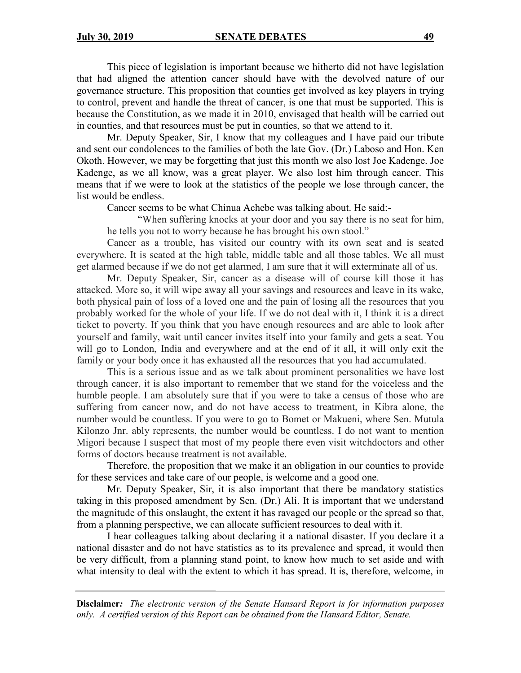This piece of legislation is important because we hitherto did not have legislation that had aligned the attention cancer should have with the devolved nature of our governance structure. This proposition that counties get involved as key players in trying to control, prevent and handle the threat of cancer, is one that must be supported. This is because the Constitution, as we made it in 2010, envisaged that health will be carried out in counties, and that resources must be put in counties, so that we attend to it.

Mr. Deputy Speaker, Sir, I know that my colleagues and I have paid our tribute and sent our condolences to the families of both the late Gov. (Dr.) Laboso and Hon. Ken Okoth. However, we may be forgetting that just this month we also lost Joe Kadenge. Joe Kadenge, as we all know, was a great player. We also lost him through cancer. This means that if we were to look at the statistics of the people we lose through cancer, the list would be endless.

Cancer seems to be what Chinua Achebe was talking about. He said:-

"When suffering knocks at your door and you say there is no seat for him, he tells you not to worry because he has brought his own stool."

Cancer as a trouble, has visited our country with its own seat and is seated everywhere. It is seated at the high table, middle table and all those tables. We all must get alarmed because if we do not get alarmed, I am sure that it will exterminate all of us.

Mr. Deputy Speaker, Sir, cancer as a disease will of course kill those it has attacked. More so, it will wipe away all your savings and resources and leave in its wake, both physical pain of loss of a loved one and the pain of losing all the resources that you probably worked for the whole of your life. If we do not deal with it, I think it is a direct ticket to poverty. If you think that you have enough resources and are able to look after yourself and family, wait until cancer invites itself into your family and gets a seat. You will go to London, India and everywhere and at the end of it all, it will only exit the family or your body once it has exhausted all the resources that you had accumulated.

This is a serious issue and as we talk about prominent personalities we have lost through cancer, it is also important to remember that we stand for the voiceless and the humble people. I am absolutely sure that if you were to take a census of those who are suffering from cancer now, and do not have access to treatment, in Kibra alone, the number would be countless. If you were to go to Bomet or Makueni, where Sen. Mutula Kilonzo Jnr. ably represents, the number would be countless. I do not want to mention Migori because I suspect that most of my people there even visit witchdoctors and other forms of doctors because treatment is not available.

Therefore, the proposition that we make it an obligation in our counties to provide for these services and take care of our people, is welcome and a good one.

Mr. Deputy Speaker, Sir, it is also important that there be mandatory statistics taking in this proposed amendment by Sen. (Dr.) Ali. It is important that we understand the magnitude of this onslaught, the extent it has ravaged our people or the spread so that, from a planning perspective, we can allocate sufficient resources to deal with it.

I hear colleagues talking about declaring it a national disaster. If you declare it a national disaster and do not have statistics as to its prevalence and spread, it would then be very difficult, from a planning stand point, to know how much to set aside and with what intensity to deal with the extent to which it has spread. It is, therefore, welcome, in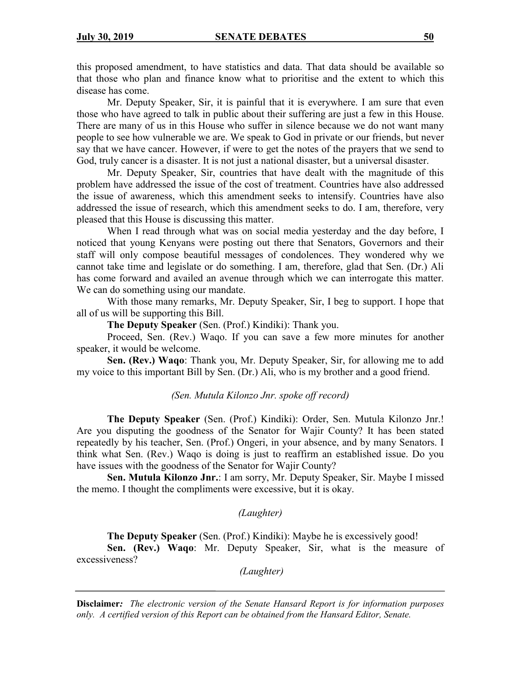this proposed amendment, to have statistics and data. That data should be available so that those who plan and finance know what to prioritise and the extent to which this disease has come.

Mr. Deputy Speaker, Sir, it is painful that it is everywhere. I am sure that even those who have agreed to talk in public about their suffering are just a few in this House. There are many of us in this House who suffer in silence because we do not want many people to see how vulnerable we are. We speak to God in private or our friends, but never say that we have cancer. However, if were to get the notes of the prayers that we send to God, truly cancer is a disaster. It is not just a national disaster, but a universal disaster.

Mr. Deputy Speaker, Sir, countries that have dealt with the magnitude of this problem have addressed the issue of the cost of treatment. Countries have also addressed the issue of awareness, which this amendment seeks to intensify. Countries have also addressed the issue of research, which this amendment seeks to do. I am, therefore, very pleased that this House is discussing this matter.

When I read through what was on social media yesterday and the day before, I noticed that young Kenyans were posting out there that Senators, Governors and their staff will only compose beautiful messages of condolences. They wondered why we cannot take time and legislate or do something. I am, therefore, glad that Sen. (Dr.) Ali has come forward and availed an avenue through which we can interrogate this matter. We can do something using our mandate.

With those many remarks, Mr. Deputy Speaker, Sir, I beg to support. I hope that all of us will be supporting this Bill.

**The Deputy Speaker** (Sen. (Prof.) Kindiki): Thank you.

Proceed, Sen. (Rev.) Waqo. If you can save a few more minutes for another speaker, it would be welcome.

**Sen. (Rev.) Waqo**: Thank you, Mr. Deputy Speaker, Sir, for allowing me to add my voice to this important Bill by Sen. (Dr.) Ali, who is my brother and a good friend.

*(Sen. Mutula Kilonzo Jnr. spoke off record)*

**The Deputy Speaker** (Sen. (Prof.) Kindiki): Order, Sen. Mutula Kilonzo Jnr.! Are you disputing the goodness of the Senator for Wajir County? It has been stated repeatedly by his teacher, Sen. (Prof.) Ongeri, in your absence, and by many Senators. I think what Sen. (Rev.) Waqo is doing is just to reaffirm an established issue. Do you have issues with the goodness of the Senator for Wajir County?

**Sen. Mutula Kilonzo Jnr.**: I am sorry, Mr. Deputy Speaker, Sir. Maybe I missed the memo. I thought the compliments were excessive, but it is okay.

*(Laughter)*

**The Deputy Speaker** (Sen. (Prof.) Kindiki): Maybe he is excessively good!

**Sen. (Rev.) Waqo**: Mr. Deputy Speaker, Sir, what is the measure of excessiveness?

*(Laughter)*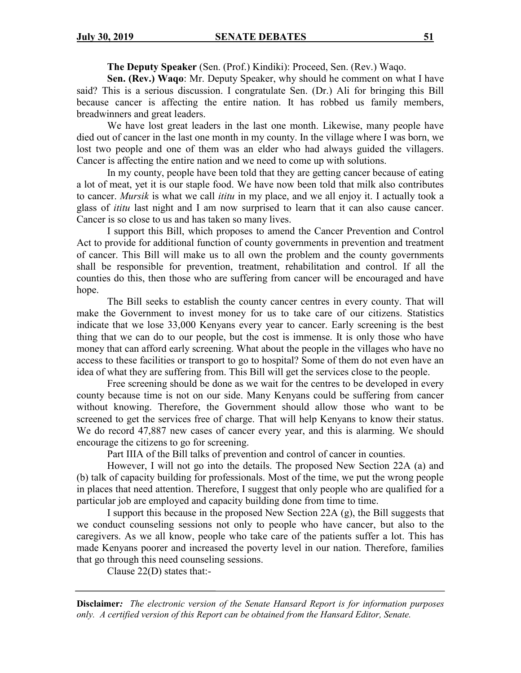**The Deputy Speaker** (Sen. (Prof.) Kindiki): Proceed, Sen. (Rev.) Waqo.

**Sen. (Rev.) Waqo**: Mr. Deputy Speaker, why should he comment on what I have said? This is a serious discussion. I congratulate Sen. (Dr.) Ali for bringing this Bill because cancer is affecting the entire nation. It has robbed us family members, breadwinners and great leaders.

We have lost great leaders in the last one month. Likewise, many people have died out of cancer in the last one month in my county. In the village where I was born, we lost two people and one of them was an elder who had always guided the villagers. Cancer is affecting the entire nation and we need to come up with solutions.

In my county, people have been told that they are getting cancer because of eating a lot of meat, yet it is our staple food. We have now been told that milk also contributes to cancer. *Mursik* is what we call *ititu* in my place, and we all enjoy it. I actually took a glass of *ititu* last night and I am now surprised to learn that it can also cause cancer. Cancer is so close to us and has taken so many lives.

I support this Bill, which proposes to amend the Cancer Prevention and Control Act to provide for additional function of county governments in prevention and treatment of cancer. This Bill will make us to all own the problem and the county governments shall be responsible for prevention, treatment, rehabilitation and control. If all the counties do this, then those who are suffering from cancer will be encouraged and have hope.

The Bill seeks to establish the county cancer centres in every county. That will make the Government to invest money for us to take care of our citizens. Statistics indicate that we lose 33,000 Kenyans every year to cancer. Early screening is the best thing that we can do to our people, but the cost is immense. It is only those who have money that can afford early screening. What about the people in the villages who have no access to these facilities or transport to go to hospital? Some of them do not even have an idea of what they are suffering from. This Bill will get the services close to the people.

Free screening should be done as we wait for the centres to be developed in every county because time is not on our side. Many Kenyans could be suffering from cancer without knowing. Therefore, the Government should allow those who want to be screened to get the services free of charge. That will help Kenyans to know their status. We do record 47,887 new cases of cancer every year, and this is alarming. We should encourage the citizens to go for screening.

Part IIIA of the Bill talks of prevention and control of cancer in counties.

However, I will not go into the details. The proposed New Section 22A (a) and (b) talk of capacity building for professionals. Most of the time, we put the wrong people in places that need attention. Therefore, I suggest that only people who are qualified for a particular job are employed and capacity building done from time to time.

I support this because in the proposed New Section 22A (g), the Bill suggests that we conduct counseling sessions not only to people who have cancer, but also to the caregivers. As we all know, people who take care of the patients suffer a lot. This has made Kenyans poorer and increased the poverty level in our nation. Therefore, families that go through this need counseling sessions.

Clause  $22(D)$  states that:-